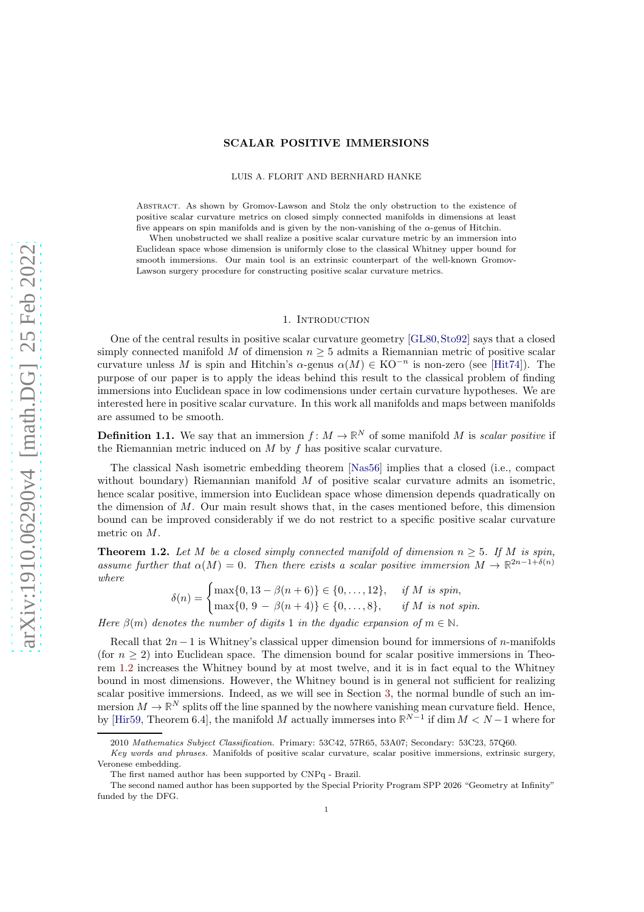# SCALAR POSITIVE IMMERSIONS

LUIS A. FLORIT AND BERNHARD HANKE

Abstract. As shown by Gromov-Lawson and Stolz the only obstruction to the existence of positive scalar curvature metrics on closed simply connected manifolds in dimensions at least five appears on spin manifolds and is given by the non-vanishing of the  $\alpha$ -genus of Hitchin.

When unobstructed we shall realize a positive scalar curvature metric by an immersion into Euclidean space whose dimension is uniformly close to the classical Whitney upper bound for smooth immersions. Our main tool is an extrinsic counterpart of the well-known Gromov-Lawson surgery procedure for constructing positive scalar curvature metrics.

#### 1. Introduction

One of the central results in positive scalar curvature geometry [\[GL80,](#page-15-0)[Sto92\]](#page-15-1) says that a closed simply connected manifold M of dimension  $n \geq 5$  admits a Riemannian metric of positive scalar curvature unless M is spin and Hitchin's  $\alpha$ -genus  $\alpha(M) \in KO^{-n}$  is non-zero (see [\[Hit74\]](#page-15-2)). The purpose of our paper is to apply the ideas behind this result to the classical problem of finding immersions into Euclidean space in low codimensions under certain curvature hypotheses. We are interested here in positive scalar curvature. In this work all manifolds and maps between manifolds are assumed to be smooth.

**Definition 1.1.** We say that an immersion  $f: M \to \mathbb{R}^N$  of some manifold M is scalar positive if the Riemannian metric induced on M by f has positive scalar curvature.

The classical Nash isometric embedding theorem [\[Nas56\]](#page-15-3) implies that a closed (i.e., compact without boundary) Riemannian manifold  $M$  of positive scalar curvature admits an isometric, hence scalar positive, immersion into Euclidean space whose dimension depends quadratically on the dimension of  $M$ . Our main result shows that, in the cases mentioned before, this dimension bound can be improved considerably if we do not restrict to a specific positive scalar curvature metric on M.

<span id="page-0-0"></span>**Theorem 1.2.** Let M be a closed simply connected manifold of dimension  $n \geq 5$ . If M is spin, assume further that  $\alpha(M) = 0$ . Then there exists a scalar positive immersion  $M \to \mathbb{R}^{2n-1+\delta(n)}$ where

$$
\delta(n) = \begin{cases} \max\{0, 13 - \beta(n+6)\} \in \{0, \dots, 12\}, & \text{if } M \text{ is spin,} \\ \max\{0, 9 - \beta(n+4)\} \in \{0, \dots, 8\}, & \text{if } M \text{ is not spin.} \end{cases}
$$

Here  $\beta(m)$  denotes the number of digits 1 in the dyadic expansion of  $m \in \mathbb{N}$ .

Recall that  $2n-1$  is Whitney's classical upper dimension bound for immersions of n-manifolds (for  $n \geq 2$ ) into Euclidean space. The dimension bound for scalar positive immersions in Theorem [1.2](#page-0-0) increases the Whitney bound by at most twelve, and it is in fact equal to the Whitney bound in most dimensions. However, the Whitney bound is in general not sufficient for realizing scalar positive immersions. Indeed, as we will see in Section [3,](#page-4-0) the normal bundle of such an immersion  $M \to \mathbb{R}^N$  splits off the line spanned by the nowhere vanishing mean curvature field. Hence, by [\[Hir59,](#page-15-4) Theorem 6.4], the manifold M actually immerses into  $\mathbb{R}^{N-1}$  if dim  $M < N-1$  where for

<sup>2010</sup> Mathematics Subject Classification. Primary: 53C42, 57R65, 53A07; Secondary: 53C23, 57Q60.

Key words and phrases. Manifolds of positive scalar curvature, scalar positive immersions, extrinsic surgery, Veronese embedding.

The first named author has been supported by CNPq - Brazil.

The second named author has been supported by the Special Priority Program SPP 2026 "Geometry at Infinity" funded by the DFG.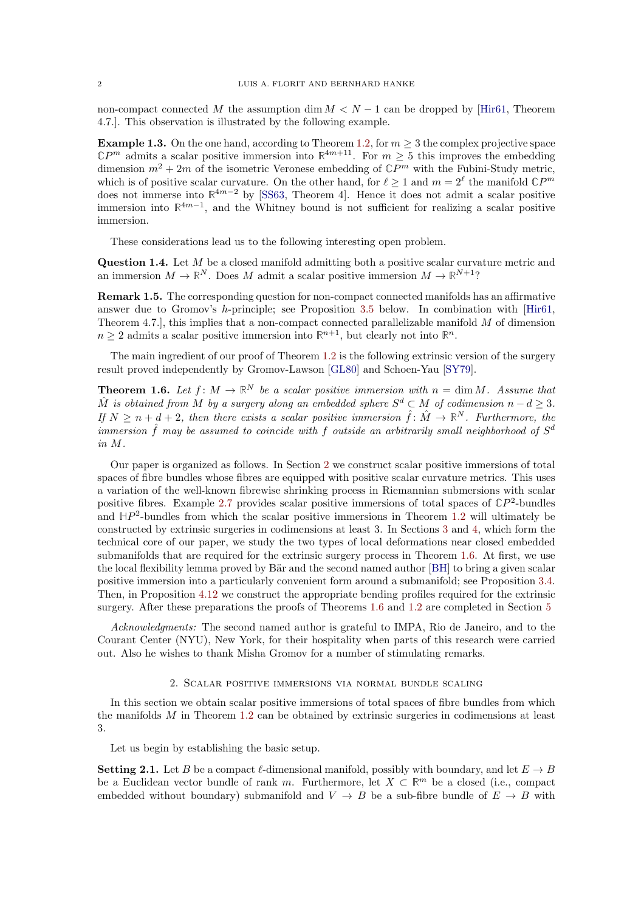non-compact connected M the assumption dim  $M < N - 1$  can be dropped by [\[Hir61,](#page-15-5) Theorem 4.7.]. This observation is illustrated by the following example.

**Example 1.3.** On the one hand, according to Theorem [1.2,](#page-0-0) for  $m \geq 3$  the complex projective space  $\mathbb{C}P^m$  admits a scalar positive immersion into  $\mathbb{R}^{4m+11}$ . For  $m \geq 5$  this improves the embedding dimension  $m^2 + 2m$  of the isometric Veronese embedding of  $\mathbb{C}P^m$  with the Fubini-Study metric, which is of positive scalar curvature. On the other hand, for  $\ell \geq 1$  and  $m = 2^{\ell}$  the manifold  $\mathbb{C}P^m$ does not immerse into **R** <sup>4</sup>m−<sup>2</sup> by [\[SS63,](#page-15-6) Theorem 4]. Hence it does not admit a scalar positive immersion into **R** 4m−1 , and the Whitney bound is not sufficient for realizing a scalar positive immersion.

These considerations lead us to the following interesting open problem.

Question 1.4. Let M be a closed manifold admitting both a positive scalar curvature metric and an immersion  $M \to \mathbb{R}^N$ . Does M admit a scalar positive immersion  $M \to \mathbb{R}^{N+1}$ ?

<span id="page-1-3"></span>Remark 1.5. The corresponding question for non-compact connected manifolds has an affirmative answer due to Gromov's h-principle; see Proposition [3.5](#page-7-0) below. In combination with [\[Hir61,](#page-15-5) Theorem 4.7.], this implies that a non-compact connected parallelizable manifold M of dimension  $n \geq 2$  admits a scalar positive immersion into  $\mathbb{R}^{n+1}$ , but clearly not into  $\mathbb{R}^n$ .

The main ingredient of our proof of Theorem [1.2](#page-0-0) is the following extrinsic version of the surgery result proved independently by Gromov-Lawson [\[GL80\]](#page-15-0) and Schoen-Yau [\[SY79\]](#page-15-7).

<span id="page-1-1"></span>**Theorem 1.6.** Let  $f: M \to \mathbb{R}^N$  be a scalar positive immersion with  $n = \dim M$ . Assume that  $\hat{M}$  is obtained from M by a surgery along an embedded sphere  $S^d \subset M$  of codimension  $n - d \geq 3$ . If  $N \geq n + d + 2$ , then there exists a scalar positive immersion  $\hat{f} \colon \hat{M} \to \mathbb{R}^N$ . Furthermore, the immersion  $\hat{f}$  may be assumed to coincide with  $f$  outside an arbitrarily small neighborhood of  $S^d$ in M.

Our paper is organized as follows. In Section [2](#page-1-0) we construct scalar positive immersions of total spaces of fibre bundles whose fibres are equipped with positive scalar curvature metrics. This uses a variation of the well-known fibrewise shrinking process in Riemannian submersions with scalar positive fibres. Example [2.7](#page-3-0) provides scalar positive immersions of total spaces of  $\mathbb{C}P^2$ -bundles and  $HP<sup>2</sup>$ -bundles from which the scalar positive immersions in Theorem [1.2](#page-0-0) will ultimately be constructed by extrinsic surgeries in codimensions at least 3. In Sections [3](#page-4-0) and [4,](#page-7-1) which form the technical core of our paper, we study the two types of local deformations near closed embedded submanifolds that are required for the extrinsic surgery process in Theorem [1.6.](#page-1-1) At first, we use the local flexibility lemma proved by Bär and the second named author [\[BH\]](#page-14-0) to bring a given scalar positive immersion into a particularly convenient form around a submanifold; see Proposition [3.4.](#page-6-0) Then, in Proposition [4.12](#page-11-0) we construct the appropriate bending profiles required for the extrinsic surgery. After these preparations the proofs of Theorems [1.6](#page-1-1) and [1.2](#page-0-0) are completed in Section [5](#page-13-0)

Acknowledgments: The second named author is grateful to IMPA, Rio de Janeiro, and to the Courant Center (NYU), New York, for their hospitality when parts of this research were carried out. Also he wishes to thank Misha Gromov for a number of stimulating remarks.

# 2. Scalar positive immersions via normal bundle scaling

<span id="page-1-0"></span>In this section we obtain scalar positive immersions of total spaces of fibre bundles from which the manifolds  $M$  in Theorem [1.2](#page-0-0) can be obtained by extrinsic surgeries in codimensions at least 3.

Let us begin by establishing the basic setup.

<span id="page-1-2"></span>**Setting 2.1.** Let B be a compact  $\ell$ -dimensional manifold, possibly with boundary, and let  $E \to B$ be a Euclidean vector bundle of rank m. Furthermore, let  $X \subset \mathbb{R}^m$  be a closed (i.e., compact embedded without boundary) submanifold and  $V \to B$  be a sub-fibre bundle of  $E \to B$  with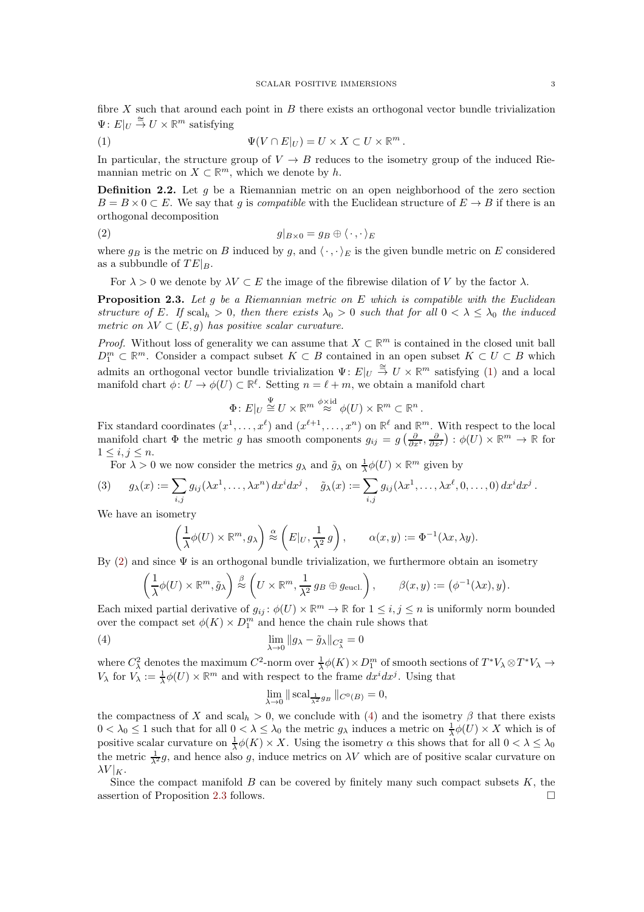fibre  $X$  such that around each point in  $B$  there exists an orthogonal vector bundle trivialization  $\Psi: E|_U \stackrel{\cong}{\to} U \times \mathbb{R}^m$  satisfying

<span id="page-2-0"></span>(1) 
$$
\Psi(V \cap E|_U) = U \times X \subset U \times \mathbb{R}^m.
$$

In particular, the structure group of  $V \to B$  reduces to the isometry group of the induced Riemannian metric on  $X \subset \mathbb{R}^m$ , which we denote by h.

<span id="page-2-4"></span>**Definition 2.2.** Let q be a Riemannian metric on an open neighborhood of the zero section  $B = B \times 0 \subset E$ . We say that q is *compatible* with the Euclidean structure of  $E \to B$  if there is an orthogonal decomposition

$$
(2) \t\t g|_{B\times 0} = g_B \oplus \langle \cdot, \cdot \rangle_E
$$

where  $g_B$  is the metric on B induced by g, and  $\langle \cdot, \cdot \rangle_E$  is the given bundle metric on E considered as a subbundle of  $TE|_B$ .

<span id="page-2-1"></span>For  $\lambda > 0$  we denote by  $\lambda V \subset E$  the image of the fibrewise dilation of V by the factor  $\lambda$ .

<span id="page-2-3"></span>**Proposition 2.3.** Let g be a Riemannian metric on E which is compatible with the Euclidean structure of E. If  $\text{scal}_h > 0$ , then there exists  $\lambda_0 > 0$  such that for all  $0 < \lambda \leq \lambda_0$  the induced metric on  $\lambda V \subset (E, g)$  has positive scalar curvature.

*Proof.* Without loss of generality we can assume that  $X \subset \mathbb{R}^m$  is contained in the closed unit ball  $D_1^m \subset \mathbb{R}^m$ . Consider a compact subset  $K \subset B$  contained in an open subset  $K \subset U \subset B$  which admits an orthogonal vector bundle trivialization  $\Psi: E|_U \stackrel{\cong}{\to} U \times \mathbb{R}^m$  satisfying [\(1\)](#page-2-0) and a local manifold chart  $\phi: U \to \phi(U) \subset \mathbb{R}^{\ell}$ . Setting  $n = \ell + m$ , we obtain a manifold chart

$$
\Phi: E|_U \stackrel{\Psi}{\cong} U \times \mathbb{R}^m \stackrel{\phi \times \mathrm{id}}{\approx} \phi(U) \times \mathbb{R}^m \subset \mathbb{R}^n.
$$

Fix standard coordinates  $(x^1, \ldots, x^{\ell})$  and  $(x^{\ell+1}, \ldots, x^n)$  on  $\mathbb{R}^{\ell}$  and  $\mathbb{R}^m$ . With respect to the local manifold chart  $\Phi$  the metric g has smooth components  $g_{ij} = g\left(\frac{\partial}{\partial x^i}, \frac{\partial}{\partial x^j}\right) : \phi(U) \times \mathbb{R}^m \to \mathbb{R}$  for  $1\leq i,j\leq n$ .

For  $\lambda > 0$  we now consider the metrics  $g_{\lambda}$  and  $\tilde{g}_{\lambda}$  on  $\frac{1}{\lambda}\phi(U) \times \mathbb{R}^m$  given by

(3) 
$$
g_{\lambda}(x) := \sum_{i,j} g_{ij}(\lambda x^1, \dots, \lambda x^n) dx^i dx^j, \quad \tilde{g}_{\lambda}(x) := \sum_{i,j} g_{ij}(\lambda x^1, \dots, \lambda x^\ell, 0, \dots, 0) dx^i dx^j.
$$

We have an isometry

$$
\left(\frac{1}{\lambda}\phi(U)\times\mathbb{R}^m,g_\lambda\right)\stackrel{\alpha}{\approx}\left(E|_U,\frac{1}{\lambda^2}g\right),\qquad\alpha(x,y):=\Phi^{-1}(\lambda x,\lambda y).
$$

By  $(2)$  and since  $\Psi$  is an orthogonal bundle trivialization, we furthermore obtain an isometry

$$
\left(\frac{1}{\lambda}\phi(U)\times\mathbb{R}^m,\tilde{g}_{\lambda}\right)\stackrel{\beta}{\approx}\left(U\times\mathbb{R}^m,\frac{1}{\lambda^2}g_B\oplus g_{\text{eucl.}}\right),\qquad \beta(x,y):=\left(\phi^{-1}(\lambda x),y\right).
$$

Each mixed partial derivative of  $g_{ij}$ :  $\phi(U) \times \mathbb{R}^m \to \mathbb{R}$  for  $1 \leq i, j \leq n$  is uniformly norm bounded over the compact set  $\phi(K) \times D_1^m$  and hence the chain rule shows that

(4) 
$$
\lim_{\lambda \to 0} \|g_{\lambda} - \tilde{g}_{\lambda}\|_{C_{\lambda}^2} = 0
$$

where  $C^2_\lambda$  denotes the maximum  $C^2$ -norm over  $\frac{1}{\lambda}\phi(K)\times D_1^m$  of smooth sections of  $T^*V_\lambda\otimes T^*V_\lambda\to$  $V_{\lambda}$  for  $V_{\lambda} := \frac{1}{\lambda} \phi(U) \times \mathbb{R}^m$  and with respect to the frame  $dx^{i} dx^{j}$ . Using that

<span id="page-2-2"></span>
$$
\lim_{\lambda \to 0} \| \operatorname{scal}_{\frac{1}{\lambda^2} g_B} \|_{C^0(B)} = 0,
$$

the compactness of X and  $\operatorname{scal}_h > 0$ , we conclude with [\(4\)](#page-2-2) and the isometry  $\beta$  that there exists  $0 < \lambda_0 \leq 1$  such that for all  $0 < \lambda \leq \lambda_0$  the metric  $g_\lambda$  induces a metric on  $\frac{1}{\lambda}\phi(U) \times X$  which is of positive scalar curvature on  $\frac{1}{\lambda}\phi(K) \times X$ . Using the isometry  $\alpha$  this shows that for all  $0 < \lambda \leq \lambda_0$ the metric  $\frac{1}{\lambda^2}g$ , and hence also g, induce metrics on  $\lambda V$  which are of positive scalar curvature on  $\lambda V|_K$ .

Since the compact manifold  $B$  can be covered by finitely many such compact subsets  $K$ , the assertion of Proposition [2.3](#page-2-3) follows.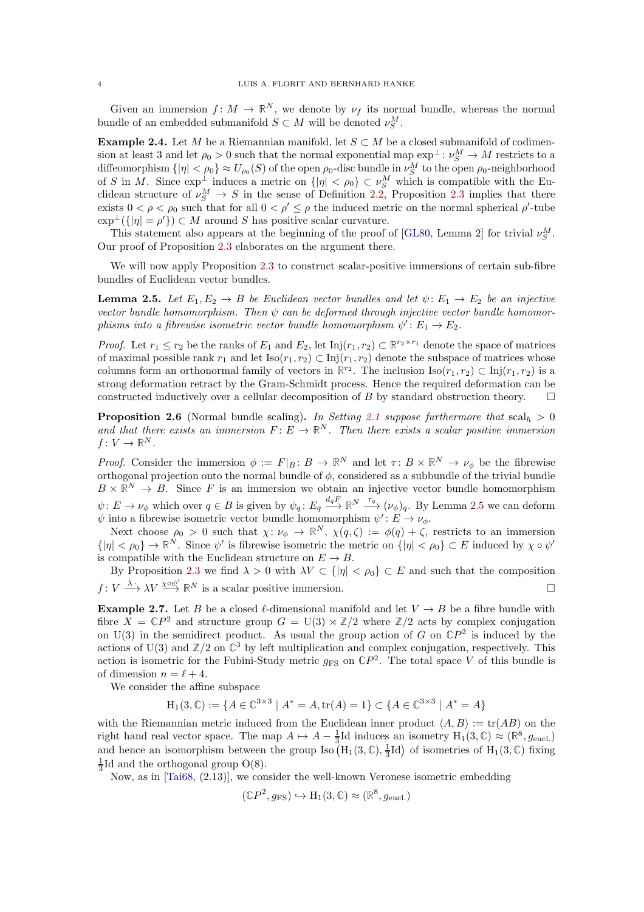Given an immersion  $f: M \to \mathbb{R}^N$ , we denote by  $\nu_f$  its normal bundle, whereas the normal bundle of an embedded submanifold  $S \subset M$  will be denoted  $\nu_S^M$ .

Example 2.4. Let M be a Riemannian manifold, let  $S \subset M$  be a closed submanifold of codimension at least 3 and let  $\rho_0 > 0$  such that the normal exponential map  $\exp^{\perp} : \nu_S^M \to M$  restricts to a diffeomorphism  $\{|\eta| < \rho_0\} \approx U_{\rho_0}(S)$  of the open  $\rho_0$ -disc bundle in  $\nu_S^M$  to the open  $\rho_0$ -neighborhood of S in M. Since  $\exp^{\perp}$  induces a metric on  $\{|\eta| < \rho_0\} \subset \nu_S^M$  which is compatible with the Euclidean structure of  $\nu_S^M \to S$  in the sense of Definition [2.2,](#page-2-4) Proposition [2.3](#page-2-3) implies that there exists  $0 < \rho < \rho_0$  such that for all  $0 < \rho' \le \rho$  the induced metric on the normal spherical  $\rho'$ -tube  $\exp^{\perp}(\{|\eta| = \rho'\}) \subset M$  around S has positive scalar curvature.

This statement also appears at the beginning of the proof of [\[GL80,](#page-15-0) Lemma 2] for trivial  $\nu_S^M$ . Our proof of Proposition [2.3](#page-2-3) elaborates on the argument there.

We will now apply Proposition [2.3](#page-2-3) to construct scalar-positive immersions of certain sub-fibre bundles of Euclidean vector bundles.

<span id="page-3-1"></span>**Lemma 2.5.** Let  $E_1, E_2 \rightarrow B$  be Euclidean vector bundles and let  $\psi: E_1 \rightarrow E_2$  be an injective vector bundle homomorphism. Then  $\psi$  can be deformed through injective vector bundle homomorphisms into a fibrewise isometric vector bundle homomorphism  $\psi' : E_1 \to E_2$ .

*Proof.* Let  $r_1 \leq r_2$  be the ranks of  $E_1$  and  $E_2$ , let  $\text{Inj}(r_1, r_2) \subset \mathbb{R}^{r_2 \times r_1}$  denote the space of matrices of maximal possible rank  $r_1$  and let  $\text{Iso}(r_1, r_2) \subset \text{Inj}(r_1, r_2)$  denote the subspace of matrices whose columns form an orthonormal family of vectors in  $\mathbb{R}^{r_2}$ . The inclusion  $\text{Iso}(r_1, r_2) \subset \text{Inj}(r_1, r_2)$  is a strong deformation retract by the Gram-Schmidt process. Hence the required deformation can be constructed inductively over a cellular decomposition of B by standard obstruction theory.  $\square$ 

<span id="page-3-2"></span>**Proposition 2.6** (Normal bundle scaling). In Setting [2.1](#page-1-2) suppose furthermore that  $\text{scal}_h > 0$ and that there exists an immersion  $F: E \to \mathbb{R}^N$ . Then there exists a scalar positive immersion  $f\colon V\to\mathbb{R}^N$ .

Proof. Consider the immersion  $\phi := F|_B : B \to \mathbb{R}^N$  and let  $\tau : B \times \mathbb{R}^N \to \nu_\phi$  be the fibrewise orthogonal projection onto the normal bundle of  $\phi$ , considered as a subbundle of the trivial bundle  $B \times \mathbb{R}^N \to B$ . Since F is an immersion we obtain an injective vector bundle homomorphism  $\psi: E \to \nu_\phi$  which over  $q \in B$  is given by  $\psi_q: E_q \xrightarrow{d_q F} \mathbb{R}^N \xrightarrow{\tau_q} (\nu_\phi)_q$ . By Lemma [2.5](#page-3-1) we can deform  $\psi$  into a fibrewise isometric vector bundle homomorphism  $\psi' : E \to \nu_{\phi}$ .

Next choose  $\rho_0 > 0$  such that  $\chi: \nu_{\phi} \to \mathbb{R}^N$ ,  $\chi(q, \zeta) := \phi(q) + \zeta$ , restricts to an immersion  $\{|\eta| < \rho_0\} \to \mathbb{R}^N$ . Since  $\psi'$  is fibrewise isometric the metric on  $\{|\eta| < \rho_0\} \subset E$  induced by  $\chi \circ \psi'$ is compatible with the Euclidean structure on  $E \to B$ .

By Proposition [2.3](#page-2-3) we find  $\lambda > 0$  with  $\lambda V \subset {\vert \eta \vert < \rho_0}$   $\subset E$  and such that the composition  $f: V \longrightarrow \lambda V \stackrel{\chi \circ \psi'}{\longrightarrow} \mathbb{R}^N$  is a scalar positive immersion.

<span id="page-3-0"></span>**Example 2.7.** Let B be a closed  $\ell$ -dimensional manifold and let  $V \rightarrow B$  be a fibre bundle with fibre  $\overline{X} = \mathbb{C}P^2$  and structure group  $G = U(3) \rtimes \mathbb{Z}/2$  where  $\mathbb{Z}/2$  acts by complex conjugation on  $U(3)$  in the semidirect product. As usual the group action of G on  $\mathbb{C}P^2$  is induced by the actions of  $U(3)$  and  $\mathbb{Z}/2$  on  $\mathbb{C}^3$  by left multiplication and complex conjugation, respectively. This action is isometric for the Fubini-Study metric  $g_{FS}$  on  $\mathbb{C}P^2$ . The total space V of this bundle is of dimension  $n = \ell + 4$ .

We consider the affine subspace

$$
H_1(3, \mathbb{C}) := \{ A \in \mathbb{C}^{3 \times 3} \mid A^* = A, \text{tr}(A) = 1 \} \subset \{ A \in \mathbb{C}^{3 \times 3} \mid A^* = A \}
$$

with the Riemannian metric induced from the Euclidean inner product  $\langle A, B \rangle := \text{tr}(AB)$  on the right hand real vector space. The map  $A \mapsto A - \frac{1}{3}$  Id induces an isometry  $H_1(3, \mathbb{C}) \approx (\mathbb{R}^8, g_{\text{eucl.}})$ and hence an isomorphism between the group Iso  $(H_1(3, \mathbb{C}), \frac{1}{3}Id)$  of isometries of  $H_1(3, \mathbb{C})$  fixing  $\frac{1}{3}$ Id and the orthogonal group O(8).

Now, as in [\[Tai68,](#page-15-8) (2.13)], we consider the well-known Veronese isometric embedding

$$
(\mathbb{C}P^2, g_{\text{FS}}) \hookrightarrow H_1(3, \mathbb{C}) \approx (\mathbb{R}^8, g_{\text{eucl.}})
$$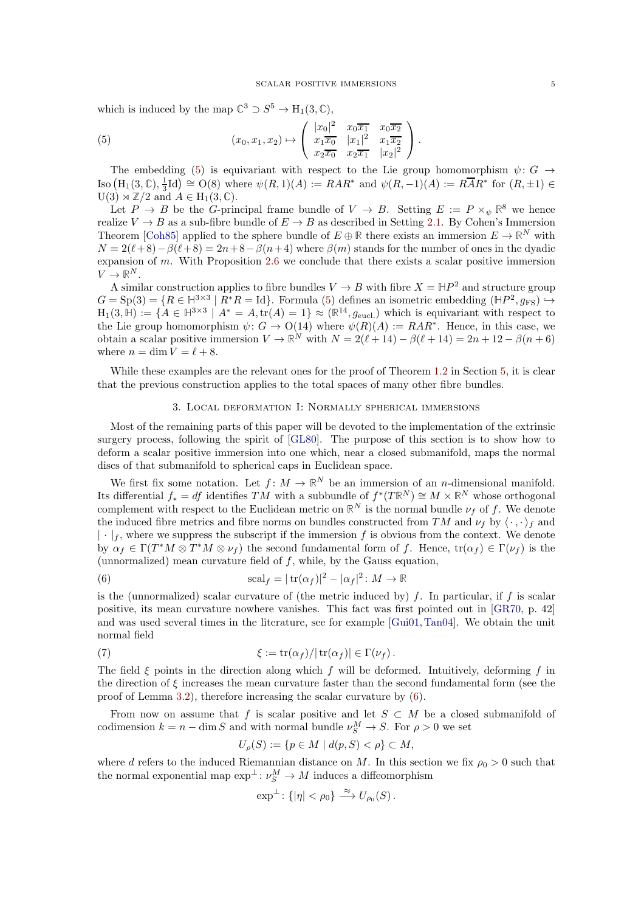which is induced by the map  $\mathbb{C}^3 \supset S^5 \to \mathrm{H}_1(3, \mathbb{C}),$ 

<span id="page-4-1"></span>(5) 
$$
(x_0, x_1, x_2) \mapsto \begin{pmatrix} |x_0|^2 & x_0 \overline{x_1} & x_0 \overline{x_2} \\ x_1 \overline{x_0} & |x_1|^2 & x_1 \overline{x_2} \\ x_2 \overline{x_0} & x_2 \overline{x_1} & |x_2|^2 \end{pmatrix}.
$$

The embedding [\(5\)](#page-4-1) is equivariant with respect to the Lie group homomorphism  $\psi: G \to$  $\text{Iso}(H_1(3,\mathbb{C}),\frac{1}{3}\text{Id}) \cong \text{O}(8)$  where  $\psi(R,1)(A) := RAR^*$  and  $\psi(R,-1)(A) := R\overline{A}R^*$  for  $(R,\pm 1) \in \mathbb{R}$  $U(3) \rtimes \mathbb{Z}/2$  and  $A \in H_1(3, \mathbb{C})$ .

Let  $P \to B$  be the G-principal frame bundle of  $V \to B$ . Setting  $E := P \times_{\psi} \mathbb{R}^8$  we hence realize  $V \to B$  as a sub-fibre bundle of  $E \to B$  as described in Setting [2.1.](#page-1-2) By Cohen's Immersion Theorem [\[Coh85\]](#page-14-1) applied to the sphere bundle of  $E \oplus \mathbb{R}$  there exists an immersion  $E \to \mathbb{R}^N$  with  $N = 2(\ell+8) - \beta(\ell+8) = 2n+8-\beta(n+4)$  where  $\beta(m)$  stands for the number of ones in the dyadic expansion of m. With Proposition [2.6](#page-3-2) we conclude that there exists a scalar positive immersion  $V \to \mathbb{R}^N$ .

A similar construction applies to fibre bundles  $V \to B$  with fibre  $X = \mathbb{H}P^2$  and structure group  $G = \text{Sp}(3) = \{R \in \mathbb{H}^{3 \times 3} \mid R^*R = \text{Id}\}.$  Formula [\(5\)](#page-4-1) defines an isometric embedding  $(\mathbb{H}P^2, g_{\text{FS}}) \hookrightarrow$  $H_1(3,\mathbb{H}) := \{A \in \mathbb{H}^{3\times 3} \mid A^* = A, \text{tr}(A) = 1\} \approx (\mathbb{R}^{14}, g_{\text{eucl.}})$  which is equivariant with respect to the Lie group homomorphism  $\psi: G \to O(14)$  where  $\psi(R)(A) := RAR^*$ . Hence, in this case, we obtain a scalar positive immersion  $V \to \mathbb{R}^N$  with  $N = 2(\ell + 14) - \beta(\ell + 14) = 2n + 12 - \beta(n + 6)$ where  $n = \dim V = \ell + 8$ .

<span id="page-4-0"></span>While these examples are the relevant ones for the proof of Theorem [1.2](#page-0-0) in Section [5,](#page-13-0) it is clear that the previous construction applies to the total spaces of many other fibre bundles.

# 3. Local deformation I: Normally spherical immersions

Most of the remaining parts of this paper will be devoted to the implementation of the extrinsic surgery process, following the spirit of [\[GL80\]](#page-15-0). The purpose of this section is to show how to deform a scalar positive immersion into one which, near a closed submanifold, maps the normal discs of that submanifold to spherical caps in Euclidean space.

We first fix some notation. Let  $f: M \to \mathbb{R}^N$  be an immersion of an *n*-dimensional manifold. Its differential  $f_* = df$  identifies TM with a subbundle of  $f^*(T\mathbb{R}^N) \cong M \times \mathbb{R}^N$  whose orthogonal complement with respect to the Euclidean metric on  $\mathbb{R}^N$  is the normal bundle  $\nu_f$  of f. We denote the induced fibre metrics and fibre norms on bundles constructed from TM and  $\nu_f$  by  $\langle \cdot, \cdot \rangle_f$  and  $|\cdot|_f$ , where we suppress the subscript if the immersion f is obvious from the context. We denote by  $\alpha_f \in \Gamma(T^*M \otimes T^*M \otimes \nu_f)$  the second fundamental form of f. Hence,  $\text{tr}(\alpha_f) \in \Gamma(\nu_f)$  is the (unnormalized) mean curvature field of  $f$ , while, by the Gauss equation,

<span id="page-4-2"></span>(6) 
$$
\mathrm{scal}_f = |\operatorname{tr}(\alpha_f)|^2 - |\alpha_f|^2 \colon M \to \mathbb{R}
$$

is the (unnormalized) scalar curvature of (the metric induced by)  $f$ . In particular, if  $f$  is scalar positive, its mean curvature nowhere vanishes. This fact was first pointed out in [\[GR70,](#page-15-9) p. 42] and was used several times in the literature, see for example [\[Gui01,](#page-15-10) [Tan04\]](#page-15-11). We obtain the unit normal field

(7) 
$$
\xi := \text{tr}(\alpha_f)/|\text{tr}(\alpha_f)| \in \Gamma(\nu_f).
$$

The field  $\xi$  points in the direction along which f will be deformed. Intuitively, deforming f in the direction of  $\xi$  increases the mean curvature faster than the second fundamental form (see the proof of Lemma [3.2\)](#page-6-1), therefore increasing the scalar curvature by [\(6\)](#page-4-2).

From now on assume that f is scalar positive and let  $S \subset M$  be a closed submanifold of codimension  $k = n - \dim S$  and with normal bundle  $\nu_S^M \to S$ . For  $\rho > 0$  we set

<span id="page-4-3"></span>
$$
U_{\rho}(S) := \{ p \in M \mid d(p, S) < \rho \} \subset M,
$$

where d refers to the induced Riemannian distance on M. In this section we fix  $\rho_0 > 0$  such that the normal exponential map  $\exp^{\perp} : \nu_S^M \to M$  induces a diffeomorphism

$$
\exp^{\perp} \colon \{ |\eta| < \rho_0 \} \xrightarrow{\approx} U_{\rho_0}(S) \, .
$$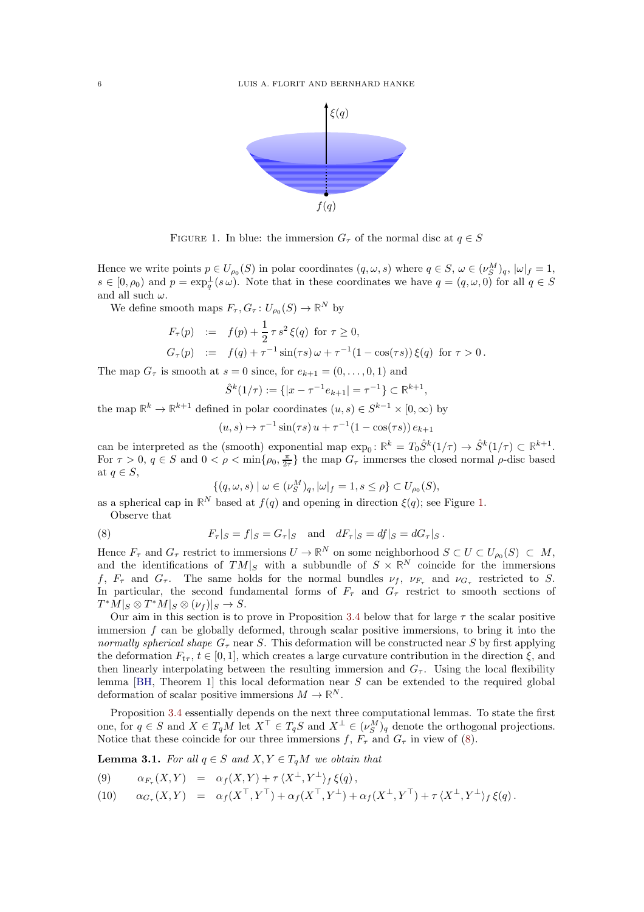

<span id="page-5-0"></span>FIGURE 1. In blue: the immersion  $G_{\tau}$  of the normal disc at  $q \in S$ 

Hence we write points  $p \in U_{\rho_0}(S)$  in polar coordinates  $(q, \omega, s)$  where  $q \in S$ ,  $\omega \in (\nu_S^M)_q$ ,  $|\omega|_f = 1$ ,  $s \in [0, \rho_0)$  and  $p = \exp_q^{\perp}(s \omega)$ . Note that in these coordinates we have  $q = (q, \omega, 0)$  for all  $q \in S$ and all such  $\omega$ .

We define smooth maps  $F_{\tau}$ ,  $G_{\tau}$ :  $U_{\rho_0}(S) \to \mathbb{R}^N$  by

$$
F_{\tau}(p) := f(p) + \frac{1}{2} \tau s^2 \xi(q) \text{ for } \tau \ge 0,
$$
  
\n
$$
G_{\tau}(p) := f(q) + \tau^{-1} \sin(\tau s) \omega + \tau^{-1} (1 - \cos(\tau s)) \xi(q) \text{ for } \tau > 0.
$$

The map  $G_{\tau}$  is smooth at  $s = 0$  since, for  $e_{k+1} = (0, \ldots, 0, 1)$  and

$$
\hat{S}^k(1/\tau) := \{|x - \tau^{-1}e_{k+1}| = \tau^{-1}\} \subset \mathbb{R}^{k+1},
$$

the map  $\mathbb{R}^k \to \mathbb{R}^{k+1}$  defined in polar coordinates  $(u, s) \in S^{k-1} \times [0, \infty)$  by

$$
(u, s) \mapsto \tau^{-1} \sin(\tau s) u + \tau^{-1} (1 - \cos(\tau s)) e_{k+1}
$$

can be interpreted as the (smooth) exponential map  $\exp_0: \mathbb{R}^k = T_0 \hat{S}^k(1/\tau) \to \hat{S}^k(1/\tau) \subset \mathbb{R}^{k+1}$ . For  $\tau > 0$ ,  $q \in S$  and  $0 < \rho < \min\{\rho_0, \frac{\pi}{2\tau}\}\$  the map  $G_{\tau}$  immerses the closed normal  $\rho$ -disc based at  $q \in S$ ,

<span id="page-5-1"></span>
$$
\{(q,\omega,s) \mid \omega \in (\nu_S^M)_q, |\omega|_f = 1, s \le \rho\} \subset U_{\rho_0}(S),
$$

as a spherical cap in  $\mathbb{R}^N$  based at  $f(q)$  and opening in direction  $\xi(q)$ ; see Figure [1.](#page-5-0)

Observe that

(8) 
$$
F_{\tau}|_{S} = f|_{S} = G_{\tau}|_{S}
$$
 and  $dF_{\tau}|_{S} = df|_{S} = dG_{\tau}|_{S}$ .

Hence  $F_{\tau}$  and  $G_{\tau}$  restrict to immersions  $U \to \mathbb{R}^N$  on some neighborhood  $S \subset U \subset U_{\rho_0}(S) \subset M$ , and the identifications of  $TM|_S$  with a subbundle of  $S \times \mathbb{R}^N$  coincide for the immersions f,  $F_{\tau}$  and  $G_{\tau}$ . The same holds for the normal bundles  $\nu_f$ ,  $\nu_{F_{\tau}}$  and  $\nu_{G_{\tau}}$  restricted to S. In particular, the second fundamental forms of  $F<sub>\tau</sub>$  and  $G<sub>\tau</sub>$  restrict to smooth sections of  $T^*M|_S \otimes T^*M|_S \otimes (\nu_f)|_S \to S.$ 

Our aim in this section is to prove in Proposition [3.4](#page-6-0) below that for large  $\tau$  the scalar positive immersion  $f$  can be globally deformed, through scalar positive immersions, to bring it into the normally spherical shape  $G<sub>\tau</sub>$  near S. This deformation will be constructed near S by first applying the deformation  $F_{t\tau}$ ,  $t \in [0, 1]$ , which creates a large curvature contribution in the direction  $\xi$ , and then linearly interpolating between the resulting immersion and  $G_{\tau}$ . Using the local flexibility lemma  $[BH, Theorem 1]$  this local deformation near S can be extended to the required global deformation of scalar positive immersions  $M \to \mathbb{R}^N$ .

Proposition [3.4](#page-6-0) essentially depends on the next three computational lemmas. To state the first one, for  $q \in S$  and  $X \in T_qM$  let  $X^{\top} \in T_qS$  and  $X^{\bot} \in (\nu_S^M)_q$  denote the orthogonal projections. Notice that these coincide for our three immersions f,  $F_{\tau}$  and  $G_{\tau}$  in view of [\(8\)](#page-5-1).

<span id="page-5-2"></span>**Lemma 3.1.** For all  $q \in S$  and  $X, Y \in T_qM$  we obtain that

<span id="page-5-3"></span>
$$
(9) \qquad \alpha_{F_{\tau}}(X,Y) = \alpha_f(X,Y) + \tau \langle X^{\perp}, Y^{\perp} \rangle_f \xi(q),
$$

(10)  $\alpha_{G_{\tau}}(X,Y) = \alpha_f(X^{\top}, Y^{\top}) + \alpha_f(X^{\top}, Y^{\perp}) + \alpha_f(X^{\perp}, Y^{\top}) + \tau \langle X^{\perp}, Y^{\perp} \rangle_f \xi(q).$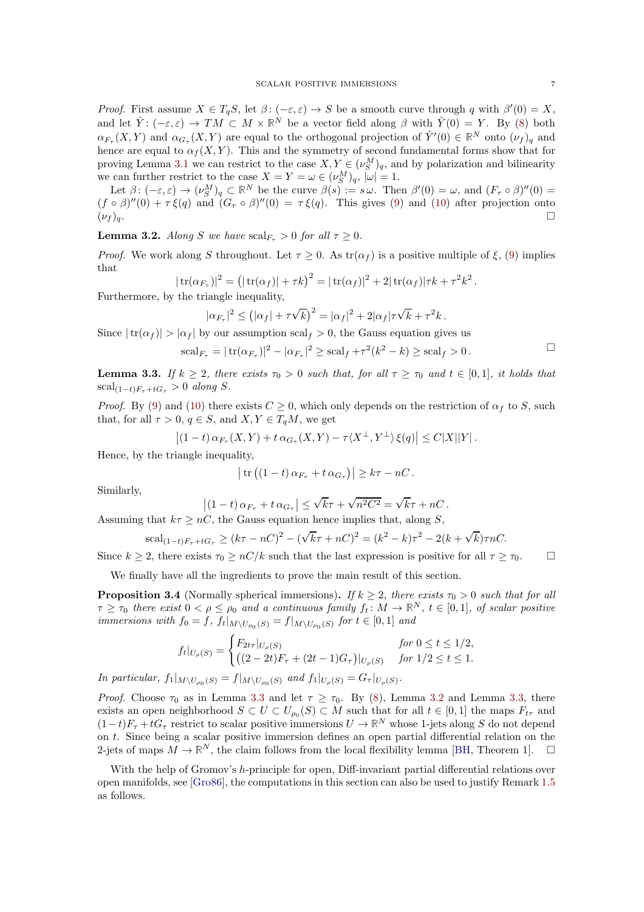Proof. First assume  $X \in T_qS$ , let  $\beta: (-\varepsilon, \varepsilon) \to S$  be a smooth curve through q with  $\beta'(0) = X$ , and let  $\hat{Y}$ :  $(-\varepsilon,\varepsilon) \to TM \subset M \times \mathbb{R}^N$  be a vector field along  $\beta$  with  $\hat{Y}(0) = Y$ . By [\(8\)](#page-5-1) both  $\alpha_{F_{\tau}}(X,Y)$  and  $\alpha_{G_{\tau}}(X,Y)$  are equal to the orthogonal projection of  $\hat{Y}'(0) \in \mathbb{R}^N$  onto  $(\nu_f)_q$  and hence are equal to  $\alpha_f(X, Y)$ . This and the symmetry of second fundamental forms show that for proving Lemma [3.1](#page-5-2) we can restrict to the case  $X, Y \in (\nu_{S}^{M})_{q}$ , and by polarization and bilinearity we can further restrict to the case  $X = Y = \omega \in (\nu_S^M)_q$ ,  $|\omega| = 1$ .

Let  $\beta: (-\varepsilon,\varepsilon) \to (\nu_S^M)_q \subset \mathbb{R}^N$  be the curve  $\beta(s) := s \omega$ . Then  $\beta'(0) = \omega$ , and  $(F_\tau \circ \beta)''(0) =$  $(f \circ \beta)''(0) + \tau \xi(q)$  and  $(G_{\tau} \circ \beta)''(0) = \tau \xi(q)$ . This gives [\(9\)](#page-5-3) and [\(10\)](#page-5-3) after projection onto  $(\nu_f)_q$ .

<span id="page-6-1"></span>**Lemma 3.2.** Along S we have  $\text{scal}_{F_\tau} > 0$  for all  $\tau \geq 0$ .

*Proof.* We work along S throughout. Let  $\tau > 0$ . As  $tr(\alpha_f)$  is a positive multiple of  $\xi$ , [\(9\)](#page-5-3) implies that

$$
|\operatorname{tr}(\alpha_{F_{\tau}})|^2 = (|\operatorname{tr}(\alpha_f)| + \tau k)^2 = |\operatorname{tr}(\alpha_f)|^2 + 2|\operatorname{tr}(\alpha_f)|\tau k + \tau^2 k^2.
$$

Furthermore, by the triangle inequality,

$$
|\alpha_{F_{\tau}}|^2 \leq \left(|\alpha_f| + \tau \sqrt{k}\right)^2 = |\alpha_f|^2 + 2|\alpha_f|\tau \sqrt{k} + \tau^2 k.
$$

Since  $|\text{tr}(\alpha_f)| > |\alpha_f|$  by our assumption scal<sub>f</sub>  $> 0$ , the Gauss equation gives us

$$
\mathrm{scal}_{F_{\tau}} = |\mathrm{tr}(\alpha_{F_{\tau}})|^2 - |\alpha_{F_{\tau}}|^2 \geq \mathrm{scal}_f + \tau^2 (k^2 - k) \geq \mathrm{scal}_f > 0.
$$

<span id="page-6-2"></span>**Lemma 3.3.** If  $k \geq 2$ , there exists  $\tau_0 > 0$  such that, for all  $\tau \geq \tau_0$  and  $t \in [0,1]$ , it holds that  $\operatorname{scal}_{(1-t)F_\tau+tG_\tau}>0$  along S.

*Proof.* By [\(9\)](#page-5-3) and [\(10\)](#page-5-3) there exists  $C \ge 0$ , which only depends on the restriction of  $\alpha_f$  to S, such that, for all  $\tau > 0$ ,  $q \in S$ , and  $X, Y \in T_qM$ , we get

$$
\left| (1-t)\alpha_{F_{\tau}}(X,Y) + t\alpha_{G_{\tau}}(X,Y) - \tau \langle X^{\perp}, Y^{\perp} \rangle \xi(q) \right| \leq C|X||Y|.
$$

Hence, by the triangle inequality,

$$
\left|\operatorname{tr}\left(\left(1-t\right)\alpha_{F_{\tau}}+t\,\alpha_{G_{\tau}}\right)\right|\geq k\tau-nC\,.
$$

Similarly,

$$
\left| \left( 1-t \right) \alpha_{F_{\tau}} + t \alpha_{G_{\tau}} \right| \leq \sqrt{k} \tau + \sqrt{n^2 C^2} = \sqrt{k} \tau + nC.
$$

Assuming that  $k\tau \geq nC$ , the Gauss equation hence implies that, along S,

scal<sub>(1-t)F<sub>\tau</sub>+tG<sub>\tau</sub></sub> 
$$
\geq (k\tau - nC)^2 - (\sqrt{k}\tau + nC)^2 = (k^2 - k)\tau^2 - 2(k + \sqrt{k})\tau nC.
$$

Since  $k \geq 2$ , there exists  $\tau_0 \geq nC/k$  such that the last expression is positive for all  $\tau \geq \tau_0$ .

We finally have all the ingredients to prove the main result of this section.

<span id="page-6-0"></span>**Proposition 3.4** (Normally spherical immersions). If  $k \geq 2$ , there exists  $\tau_0 > 0$  such that for all  $\tau \geq \tau_0$  there exist  $0 < \rho \leq \rho_0$  and a continuous family  $f_t \colon M \to \mathbb{R}^N$ ,  $t \in [0,1]$ , of scalar positive immersions with  $f_0 = f$ ,  $f_t|_{M \setminus U_{\rho_0}(S)} = f|_{M \setminus U_{\rho_0}(S)}$  for  $t \in [0,1]$  and

$$
f_t|_{U_{\rho}(S)} = \begin{cases} F_{2t\tau}|_{U_{\rho}(S)} & \text{for } 0 \le t \le 1/2, \\ \left( (2-2t)F_{\tau} + (2t-1)G_{\tau} \right)|_{U_{\rho}(S)} & \text{for } 1/2 \le t \le 1. \end{cases}
$$

In particular,  $f_1|_{M \setminus U_{\rho_0}(S)} = f|_{M \setminus U_{\rho_0}(S)}$  and  $f_1|_{U_{\rho}(S)} = G_{\tau}|_{U_{\rho}(S)}$ .

*Proof.* Choose  $\tau_0$  as in Lemma [3.3](#page-6-2) and let  $\tau \geq \tau_0$ . By [\(8\)](#page-5-1), Lemma [3.2](#page-6-1) and Lemma [3.3,](#page-6-2) there exists an open neighborhood  $S \subset U \subset U_{\rho_0}(S) \subset M$  such that for all  $t \in [0,1]$  the maps  $F_{t\tau}$  and  $(1-t)F_{\tau} + tG_{\tau}$  restrict to scalar positive immersions  $U \to \mathbb{R}^N$  whose 1-jets along S do not depend on t. Since being a scalar positive immersion defines an open partial differential relation on the 2-jets of maps  $M \to \mathbb{R}^N$ , the claim follows from the local flexibility lemma [\[BH,](#page-14-0) Theorem 1].  $\Box$ 

With the help of Gromov's h-principle for open, Diff-invariant partial differential relations over open manifolds, see [\[Gro86\]](#page-15-12), the computations in this section can also be used to justify Remark [1.5](#page-1-3) as follows.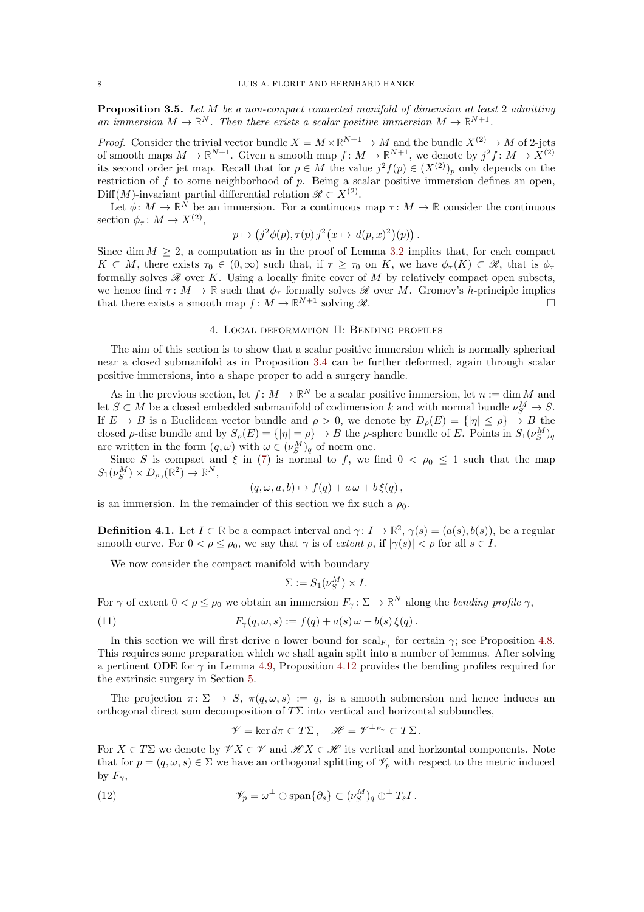<span id="page-7-0"></span>Proposition 3.5. Let M be a non-compact connected manifold of dimension at least 2 admitting an immersion  $M \to \mathbb{R}^N$ . Then there exists a scalar positive immersion  $M \to \mathbb{R}^{N+1}$ .

*Proof.* Consider the trivial vector bundle  $X = M \times \mathbb{R}^{N+1} \to M$  and the bundle  $X^{(2)} \to M$  of 2-jets of smooth maps  $M \to \mathbb{R}^{N+1}$ . Given a smooth map  $f: M \to \mathbb{R}^{N+1}$ , we denote by  $j^2 f: M \to X^{(2)}$ its second order jet map. Recall that for  $p \in M$  the value  $j^2 f(p) \in (X^{(2)})_p$  only depends on the restriction of f to some neighborhood of p. Being a scalar positive immersion defines an open, Diff(M)-invariant partial differential relation  $\mathscr{R} \subset X^{(2)}$ .

Let  $\phi: M \to \mathbb{R}^N$  be an immersion. For a continuous map  $\tau: M \to \mathbb{R}$  consider the continuous section  $\phi_{\tau} : M \to X^{(2)},$ 

$$
p \mapsto (j^2 \phi(p), \tau(p) j^2 (x \mapsto d(p,x)^2)(p)).
$$

Since dim  $M \geq 2$ , a computation as in the proof of Lemma [3.2](#page-6-1) implies that, for each compact  $K \subset M$ , there exists  $\tau_0 \in (0,\infty)$  such that, if  $\tau \geq \tau_0$  on K, we have  $\phi_\tau(K) \subset \mathscr{R}$ , that is  $\phi_\tau$ formally solves  $\mathscr R$  over K. Using a locally finite cover of M by relatively compact open subsets, we hence find  $\tau \colon M \to \mathbb{R}$  such that  $\phi_{\tau}$  formally solves  $\mathcal{R}$  over M. Gromov's h-principle implies that there exists a smooth map  $f \colon M \to \mathbb{R}^{N+1}$  solving  $\mathcal{R}$ . that there exists a smooth map  $f: M \to \mathbb{R}^{N+1}$  solving  $\mathscr{R}$ .

## 4. Local deformation II: Bending profiles

<span id="page-7-1"></span>The aim of this section is to show that a scalar positive immersion which is normally spherical near a closed submanifold as in Proposition [3.4](#page-6-0) can be further deformed, again through scalar positive immersions, into a shape proper to add a surgery handle.

As in the previous section, let  $f: M \to \mathbb{R}^N$  be a scalar positive immersion, let  $n := \dim M$  and let  $S \subset M$  be a closed embedded submanifold of codimension k and with normal bundle  $\nu_S^M \to S$ . If  $E \to B$  is a Euclidean vector bundle and  $\rho > 0$ , we denote by  $D_{\rho}(E) = \{ |\eta| \le \rho \} \to B$  the closed  $\rho$ -disc bundle and by  $S_{\rho}(E) = \{ |\eta| = \rho \} \to B$  the  $\rho$ -sphere bundle of E. Points in  $S_1(\nu_S^M)_q$ are written in the form  $(q,\omega)$  with  $\omega \in (\nu_S^M)_q$  of norm one.

Since S is compact and  $\xi$  in [\(7\)](#page-4-3) is normal to f, we find  $0 < \rho_0 \leq 1$  such that the map  $S_1(\nu_S^M) \times D_{\rho_0}(\mathbb{R}^2) \to \mathbb{R}^N$ ,

$$
(q,\omega,a,b)\mapsto f(q)+a\,\omega+b\,\xi(q)\,,
$$

is an immersion. In the remainder of this section we fix such a  $\rho_0$ .

**Definition 4.1.** Let  $I \subset \mathbb{R}$  be a compact interval and  $\gamma: I \to \mathbb{R}^2$ ,  $\gamma(s) = (a(s), b(s))$ , be a regular smooth curve. For  $0 < \rho \leq \rho_0$ , we say that  $\gamma$  is of extent  $\rho$ , if  $|\gamma(s)| < \rho$  for all  $s \in I$ .

We now consider the compact manifold with boundary

<span id="page-7-2"></span>
$$
\Sigma := S_1(\nu_S^M) \times I.
$$

For  $\gamma$  of extent  $0 < \rho \le \rho_0$  we obtain an immersion  $F_\gamma : \Sigma \to \mathbb{R}^N$  along the *bending profile*  $\gamma$ ,

(11) 
$$
F_{\gamma}(q,\omega,s) := f(q) + a(s)\,\omega + b(s)\,\xi(q).
$$

In this section we will first derive a lower bound for  $\text{scal}_{F_\gamma}$  for certain  $\gamma$ ; see Proposition [4.8.](#page-10-0) This requires some preparation which we shall again split into a number of lemmas. After solving a pertinent ODE for  $\gamma$  in Lemma [4.9,](#page-11-1) Proposition [4.12](#page-11-0) provides the bending profiles required for the extrinsic surgery in Section [5.](#page-13-0)

The projection  $\pi \colon \Sigma \to S$ ,  $\pi(q, \omega, s) := q$ , is a smooth submersion and hence induces an orthogonal direct sum decomposition of  $T\Sigma$  into vertical and horizontal subbundles,

$$
\mathscr{V} = \ker d\pi \subset T\Sigma \,, \quad \mathscr{H} = \mathscr{V}^{\perp_{F_\gamma}} \subset T\Sigma \,.
$$

For  $X \in T\Sigma$  we denote by  $\mathscr{V} X \in \mathscr{V}$  and  $\mathscr{H} X \in \mathscr{H}$  its vertical and horizontal components. Note that for  $p = (q, \omega, s) \in \Sigma$  we have an orthogonal splitting of  $\mathcal{V}_p$  with respect to the metric induced by  $F_{\gamma}$ ,

(12) 
$$
\mathscr{V}_p = \omega^{\perp} \oplus \text{span}\{\partial_s\} \subset (\nu_S^M)_q \oplus^{\perp} T_s I.
$$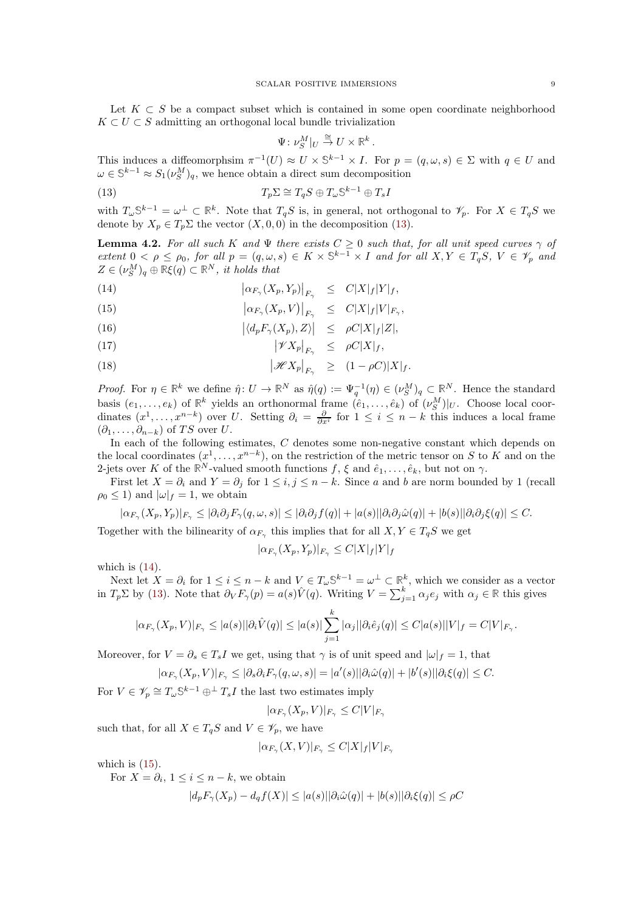Let  $K \subset S$  be a compact subset which is contained in some open coordinate neighborhood  $K \subset U \subset S$  admitting an orthogonal local bundle trivialization

<span id="page-8-0"></span>
$$
\Psi\colon \nu_S^M|_U \stackrel{\cong}{\to} U\times \mathbb{R}^k.
$$

This induces a diffeomorphsim  $\pi^{-1}(U) \approx U \times \mathbb{S}^{k-1} \times I$ . For  $p = (q, \omega, s) \in \Sigma$  with  $q \in U$  and  $\omega \in \mathbb{S}^{k-1} \approx S_1(\nu_S^M)_q$ , we hence obtain a direct sum decomposition

(13) 
$$
T_p \Sigma \cong T_q S \oplus T_\omega \mathbb{S}^{k-1} \oplus T_s I
$$

with  $T_{\omega} \mathbb{S}^{k-1} = \omega^{\perp} \subset \mathbb{R}^k$ . Note that  $T_qS$  is, in general, not orthogonal to  $\mathscr{V}_p$ . For  $X \in T_qS$  we denote by  $X_p \in T_p \Sigma$  the vector  $(X, 0, 0)$  in the decomposition [\(13\)](#page-8-0).

<span id="page-8-2"></span>**Lemma 4.2.** For all such K and  $\Psi$  there exists  $C \geq 0$  such that, for all unit speed curves  $\gamma$  of extent  $0 < \rho \leq \rho_0$ , for all  $p = (q, \omega, s) \in K \times \mathbb{S}^{k-1} \times I$  and for all  $X, Y \in T_qS$ ,  $V \in \mathscr{V}_p$  and  $Z \in (\nu_S^M)_q \oplus \mathbb{R}\xi(q) \subset \mathbb{R}^N$ , it holds that

<span id="page-8-1"></span>(14)  $\left|\alpha_{F_{\gamma}}(X_p,Y_p)\right|_{F_{\gamma}} \leq C|X|_f|Y|_f,$ 

(15) 
$$
\left|\alpha_{F_{\gamma}}(X_p, V)\right|_{F_{\gamma}} \leq C|X|_f|V|_{F_{\gamma}},
$$

(16)  $|\langle d_p F_\gamma(X_p), Z \rangle| \leq \rho C |X|_f |Z|,$ 

$$
|\mathscr{V}X_p|_{F_\gamma} \le \rho C|X|_f,
$$

(18)  $|\mathscr{H}X_p|_{F_\gamma} \geq (1-\rho C)|X|_f.$ 

Proof. For  $\eta \in \mathbb{R}^k$  we define  $\hat{\eta} \colon U \to \mathbb{R}^N$  as  $\hat{\eta}(q) := \Psi_q^{-1}(\eta) \in (\nu_S^M)_q \subset \mathbb{R}^N$ . Hence the standard basis  $(e_1, \ldots, e_k)$  of  $\mathbb{R}^k$  yields an orthonormal frame  $(\hat{e}_1, \ldots, \hat{e}_k)$  of  $(\nu_S^M)|_U$ . Choose local coordinates  $(x^1, \ldots, x^{n-k})$  over U. Setting  $\partial_i = \frac{\partial}{\partial x^i}$  for  $1 \leq i \leq n-k$  this induces a local frame  $(\partial_1, \ldots, \partial_{n-k})$  of TS over U.

In each of the following estimates, C denotes some non-negative constant which depends on the local coordinates  $(x^1, \ldots, x^{n-k})$ , on the restriction of the metric tensor on S to K and on the 2-jets over K of the  $\mathbb{R}^N$ -valued smooth functions  $f, \xi$  and  $\hat{e}_1, \ldots, \hat{e}_k$ , but not on  $\gamma$ .

First let  $X = \partial_i$  and  $Y = \partial_j$  for  $1 \leq i, j \leq n - k$ . Since a and b are norm bounded by 1 (recall  $\rho_0 \leq 1$  and  $|\omega|_f = 1$ , we obtain

$$
|\alpha_{F_{\gamma}}(X_p,Y_p)|_{F_{\gamma}} \leq |\partial_i \partial_j F_{\gamma}(q,\omega,s)| \leq |\partial_i \partial_j f(q)| + |a(s)| |\partial_i \partial_j \hat{\omega}(q)| + |b(s)| |\partial_i \partial_j \xi(q)| \leq C.
$$

Together with the bilinearity of  $\alpha_{F_{\gamma}}$  this implies that for all  $X, Y \in T_qS$  we get

$$
|\alpha_{F_{\gamma}}(X_p,Y_p)|_{F_{\gamma}}\leq C|X|_f|Y|_f
$$

which is  $(14)$ .

Next let  $X = \partial_i$  for  $1 \leq i \leq n-k$  and  $V \in T_\omega \mathbb{S}^{k-1} = \omega^\perp \subset \mathbb{R}^k$ , which we consider as a vector in  $T_p \Sigma$  by [\(13\)](#page-8-0). Note that  $\partial_V F_\gamma(p) = a(s)\hat{V}(q)$ . Writing  $V = \sum_{j=1}^k \alpha_j e_j$  with  $\alpha_j \in \mathbb{R}$  this gives

$$
|\alpha_{F_{\gamma}}(X_{p}, V)|_{F_{\gamma}} \leq |a(s)||\partial_{i}\hat{V}(q)| \leq |a(s)| \sum_{j=1}^{k} |\alpha_{j}||\partial_{i}\hat{e}_{j}(q)| \leq C|a(s)||V|_{f} = C|V|_{F_{\gamma}}.
$$

Moreover, for  $V = \partial_s \in T_s I$  we get, using that  $\gamma$  is of unit speed and  $|\omega|_f = 1$ , that

$$
|\alpha_{F_{\gamma}}(X_p, V)|_{F_{\gamma}} \leq |\partial_s \partial_i F_{\gamma}(q, \omega, s)| = |a'(s)| |\partial_i \hat{\omega}(q)| + |b'(s)| |\partial_i \xi(q)| \leq C.
$$

For  $V \in \mathscr{V}_p \cong T_\omega \mathbb{S}^{k-1} \oplus^{\perp} T_s I$  the last two estimates imply

$$
|\alpha_{F_\gamma}(X_p, V)|_{F_\gamma} \le C|V|_{F_\gamma}
$$

such that, for all  $X \in T_qS$  and  $V \in \mathscr{V}_p$ , we have

$$
|\alpha_{F_\gamma}(X,V)|_{F_\gamma} \leq C|X|_f|V|_{F_\gamma}
$$

which is  $(15)$ .

For  $X = \partial_i$ ,  $1 \leq i \leq n - k$ , we obtain

$$
|d_p F_{\gamma}(X_p) - d_q f(X)| \le |a(s)| |\partial_i \hat{\omega}(q)| + |b(s)| |\partial_i \xi(q)| \le \rho C
$$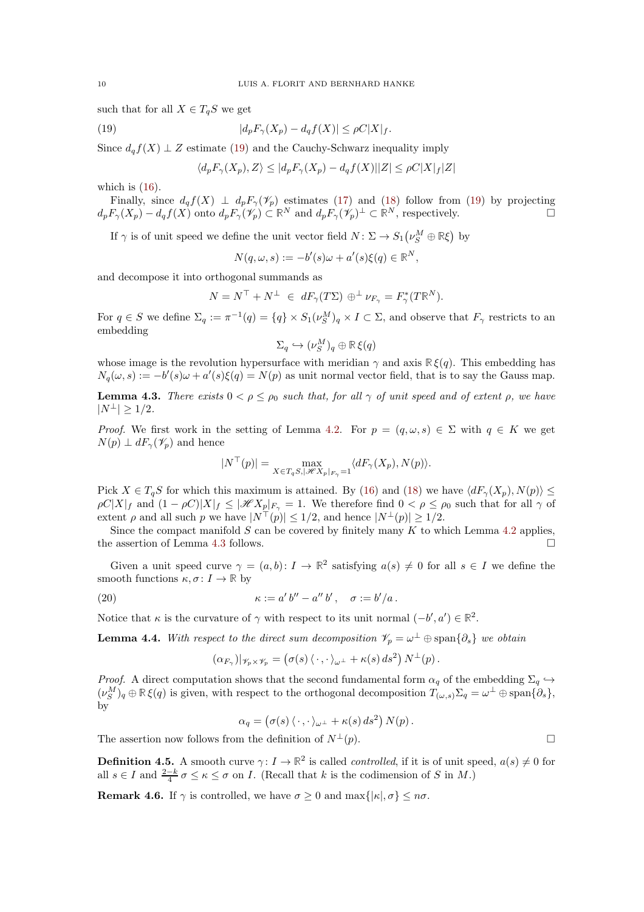such that for all  $X \in T_qS$  we get

(19) 
$$
|d_p F_{\gamma}(X_p) - d_q f(X)| \le \rho C |X|_f.
$$

Since  $d_q f(X) \perp Z$  estimate [\(19\)](#page-9-0) and the Cauchy-Schwarz inequality imply

<span id="page-9-0"></span>
$$
\langle d_p F_\gamma(X_p), Z \rangle \leq |d_p F_\gamma(X_p) - d_q f(X)| |Z| \leq \rho C |X|_f |Z|
$$

which is  $(16)$ .

Finally, since  $d_qf(X) \perp d_pF_\gamma(\mathscr{V}_p)$  estimates [\(17\)](#page-8-1) and [\(18\)](#page-8-1) follow from [\(19\)](#page-9-0) by projecting  $d_p F_\gamma(X_p) - d_q f(X)$  onto  $d_p F_\gamma(\mathscr{V}_p) \subset \mathbb{R}^N$  and  $d_p F_\gamma(\mathscr{V}_p)^\perp \subset \mathbb{R}^N$ , respectively.

If  $\gamma$  is of unit speed we define the unit vector field  $N: \Sigma \to S_1(\nu_S^M \oplus \mathbb{R}\xi)$  by

$$
N(q,\omega,s) := -b'(s)\omega + a'(s)\xi(q) \in \mathbb{R}^N,
$$

and decompose it into orthogonal summands as

$$
N = N^{\top} + N^{\perp} \in dF_{\gamma}(T\Sigma) \oplus^{\perp} \nu_{F_{\gamma}} = F_{\gamma}^*(T\mathbb{R}^N).
$$

For  $q \in S$  we define  $\Sigma_q := \pi^{-1}(q) = \{q\} \times S_1(\nu_S^M)_q \times I \subset \Sigma$ , and observe that  $F_\gamma$  restricts to an embedding

$$
\Sigma_q \hookrightarrow (\nu_S^M)_q \oplus \mathbb{R}\,\xi(q)
$$

whose image is the revolution hypersurface with meridian  $\gamma$  and axis  $\mathbb{R}\xi(q)$ . This embedding has  $N_q(\omega, s) := -b'(s)\omega + a'(s)\xi(q) = N(p)$  as unit normal vector field, that is to say the Gauss map.

<span id="page-9-1"></span>**Lemma 4.3.** There exists  $0 < \rho \le \rho_0$  such that, for all  $\gamma$  of unit speed and of extent  $\rho$ , we have  $|N^{\perp}| \geq 1/2$ .

*Proof.* We first work in the setting of Lemma [4.2.](#page-8-2) For  $p = (q, \omega, s) \in \Sigma$  with  $q \in K$  we get  $N(p) \perp dF_{\gamma}(\mathscr{V}_{p})$  and hence

$$
|N^{\top}(p)| = \max_{X \in T_q S, |\mathscr{H}X_p|_{F_\gamma} = 1} \langle dF_\gamma(X_p), N(p) \rangle.
$$

Pick  $X \in T_qS$  for which this maximum is attained. By [\(16\)](#page-8-1) and [\(18\)](#page-8-1) we have  $\langle dF_{\gamma}(X_p), N(p) \rangle \leq$  $\rho C|X|_f$  and  $(1-\rho C)|X|_f \leq |\mathcal{H}X_p|_{F_\gamma} = 1$ . We therefore find  $0 < \rho \leq \rho_0$  such that for all  $\gamma$  of extent  $\rho$  and all such  $p$  we have  $|N^{\top}(p)| \leq 1/2$ , and hence  $|N^{\perp}(p)| \geq 1/2$ .

Since the compact manifold  $S$  can be covered by finitely many  $K$  to which Lemma [4.2](#page-8-2) applies, the assertion of Lemma [4.3](#page-9-1) follows.

Given a unit speed curve  $\gamma = (a, b) : I \to \mathbb{R}^2$  satisfying  $a(s) \neq 0$  for all  $s \in I$  we define the smooth functions  $\kappa, \sigma \colon I \to \mathbb{R}$  by

(20) 
$$
\kappa := a' b'' - a'' b', \quad \sigma := b'/a.
$$

Notice that  $\kappa$  is the curvature of  $\gamma$  with respect to its unit normal  $(-b', a') \in \mathbb{R}^2$ .

<span id="page-9-2"></span>**Lemma 4.4.** With respect to the direct sum decomposition  $\mathscr{V}_p = \omega^{\perp} \oplus \text{span}\{\partial_s\}$  we obtain

<span id="page-9-4"></span>
$$
(\alpha_{F_{\gamma}})|_{\mathscr{V}_{p}\times\mathscr{V}_{p}}=\left(\sigma(s)\left\langle\,\cdot\,,\cdot\,\right\rangle_{\omega^{\perp}}+\kappa(s)\,ds^{2}\right)N^{\perp}(p).
$$

*Proof.* A direct computation shows that the second fundamental form  $\alpha_q$  of the embedding  $\Sigma_q \hookrightarrow$  $(\nu_S^M)_q \oplus \mathbb{R}\xi(q)$  is given, with respect to the orthogonal decomposition  $T_{(\omega,s)}\Sigma_q = \omega^{\perp} \oplus \text{span}\{\partial_s\},\$ by

$$
\alpha_q = (\sigma(s) \langle \cdot \, , \cdot \rangle_{\omega^\perp} + \kappa(s) \, ds^2) \, N(p) \, .
$$

The assertion now follows from the definition of  $N^{\perp}(p)$ .

**Definition 4.5.** A smooth curve  $\gamma: I \to \mathbb{R}^2$  is called *controlled*, if it is of unit speed,  $a(s) \neq 0$  for all  $s \in I$  and  $\frac{2-k}{4}\sigma \leq \kappa \leq \sigma$  on *I*. (Recall that k is the codimension of S in M.)

<span id="page-9-3"></span>**Remark 4.6.** If  $\gamma$  is controlled, we have  $\sigma \geq 0$  and  $\max\{|\kappa|, \sigma\} \leq n\sigma$ .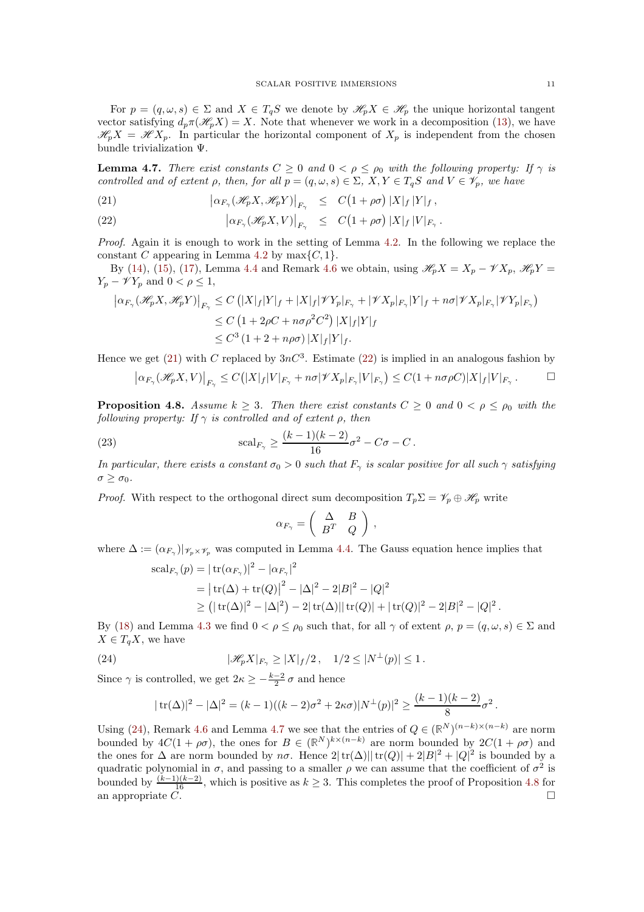For  $p = (q, \omega, s) \in \Sigma$  and  $X \in T_qS$  we denote by  $\mathscr{H}_p X \in \mathscr{H}_p$  the unique horizontal tangent vector satisfying  $d_p \pi(\mathcal{H}_p X) = X$ . Note that whenever we work in a decomposition [\(13\)](#page-8-0), we have  $\mathscr{H}_p X = \mathscr{H} X_p$ . In particular the horizontal component of  $X_p$  is independent from the chosen bundle trivialization Ψ.

<span id="page-10-3"></span>**Lemma 4.7.** There exist constants  $C \ge 0$  and  $0 < \rho \le \rho_0$  with the following property: If  $\gamma$  is controlled and of extent  $\rho$ , then, for all  $p = (q, \omega, s) \in \Sigma$ ,  $X, Y \in T_qS$  and  $V \in \mathscr{V}_p$ , we have

<span id="page-10-1"></span>(21) 
$$
\left|\alpha_{F_{\gamma}}(\mathcal{H}_p X, \mathcal{H}_p Y)\right|_{F_{\gamma}} \leq C\big(1+\rho\sigma\big)|X|_f|Y|_f,
$$

(22) 
$$
\left|\alpha_{F_{\gamma}}(\mathscr{H}_{p}X,V)\right|_{F_{\gamma}} \leq C(1+\rho\sigma)|X|_{f}|V|_{F_{\gamma}}.
$$

Proof. Again it is enough to work in the setting of Lemma [4.2.](#page-8-2) In the following we replace the constant C appearing in Lemma [4.2](#page-8-2) by  $\max\{C, 1\}.$ 

By [\(14\)](#page-8-1), [\(15\)](#page-8-1), [\(17\)](#page-8-1), Lemma [4.4](#page-9-2) and Remark [4.6](#page-9-3) we obtain, using  $\mathscr{H}_pX = X_p - \mathscr{V}X_p$ ,  $\mathscr{H}_pY =$  $Y_p - \mathscr{V} Y_p$  and  $0 < \rho \leq 1$ ,

$$
\left| \alpha_{F_{\gamma}}(\mathcal{H}_{p}X, \mathcal{H}_{p}Y) \right|_{F_{\gamma}} \leq C \left( |X|_{f} |Y|_{f} + |X|_{f} | \mathcal{V}Y_{p}|_{F_{\gamma}} + |\mathcal{V}X_{p}|_{F_{\gamma}} |Y|_{f} + n\sigma |\mathcal{V}X_{p}|_{F_{\gamma}} |\mathcal{V}Y_{p}|_{F_{\gamma}} \right)
$$
  
\n
$$
\leq C \left( 1 + 2\rho C + n\sigma \rho^{2} C^{2} \right) |X|_{f} |Y|_{f}
$$
  
\n
$$
\leq C^{3} \left( 1 + 2 + n\rho \sigma \right) |X|_{f} |Y|_{f}.
$$

Hence we get [\(21\)](#page-10-1) with C replaced by  $3nC^3$ . Estimate [\(22\)](#page-10-1) is implied in an analogous fashion by

$$
\big|\alpha_{F_{\gamma}}(\mathscr{H}_{p}X,V)\big|_{F_{\gamma}}\leq C\big(|X|_{f}|V|_{F_{\gamma}}+n\sigma |\mathscr{V}X_{p}|_{F_{\gamma}}|V|_{F_{\gamma}}\big)\leq C(1+n\sigma\rho C)|X|_{f}|V|_{F_{\gamma}}\;.\qquad \qquad \Box
$$

<span id="page-10-0"></span>**Proposition 4.8.** Assume  $k \geq 3$ . Then there exist constants  $C \geq 0$  and  $0 < \rho \leq \rho_0$  with the following property: If  $\gamma$  is controlled and of extent  $\rho$ , then

(23) 
$$
\mathrm{scal}_{F_{\gamma}} \ge \frac{(k-1)(k-2)}{16}\sigma^2 - C\sigma - C.
$$

In particular, there exists a constant  $\sigma_0 > 0$  such that  $F_\gamma$  is scalar positive for all such  $\gamma$  satisfying  $\sigma > \sigma_0$ .

*Proof.* With respect to the orthogonal direct sum decomposition  $T_p \Sigma = \mathscr{V}_p \oplus \mathscr{H}_p$  write

$$
\alpha_{F_{\gamma}} = \left( \begin{array}{cc} \Delta & B \\ B^T & Q \end{array} \right) ,
$$

where  $\Delta := (\alpha_{F_\gamma})|_{\gamma_p \times \gamma_p}$  was computed in Lemma [4.4.](#page-9-2) The Gauss equation hence implies that

$$
scal_{F_{\gamma}}(p) = | tr(α_{F_{\gamma}})|^2 - |α_{F_{\gamma}}|^2
$$
  
= | tr(Δ) + tr(Q)|<sup>2</sup> – |Δ|<sup>2</sup> – 2|B|<sup>2</sup> – |Q|<sup>2</sup>  
≥ (| tr(Δ)|<sup>2</sup> – |Δ|<sup>2</sup>) – 2| tr(Δ)|| tr(Q)| + | tr(Q)|<sup>2</sup> – 2|B|<sup>2</sup> – |Q|<sup>2</sup>.

By [\(18\)](#page-8-1) and Lemma [4.3](#page-9-1) we find  $0 < \rho \le \rho_0$  such that, for all  $\gamma$  of extent  $\rho$ ,  $p = (q, \omega, s) \in \Sigma$  and  $X \in T_a X$ , we have

(24) 
$$
|\mathscr{H}_p X|_{F_\gamma} \ge |X|_f/2\,, \quad 1/2 \le |N^\perp(p)| \le 1\,.
$$

Since  $\gamma$  is controlled, we get  $2\kappa \geq -\frac{k-2}{2}\sigma$  and hence

<span id="page-10-2"></span>
$$
|\operatorname{tr}(\Delta)|^2 - |\Delta|^2 = (k-1)((k-2)\sigma^2 + 2\kappa\sigma)|N^{\perp}(p)|^2 \ge \frac{(k-1)(k-2)}{8}\sigma^2.
$$

Using [\(24\)](#page-10-2), Remark [4.6](#page-9-3) and Lemma [4.7](#page-10-3) we see that the entries of  $Q \in (\mathbb{R}^N)^{(n-k)\times (n-k)}$  are norm bounded by  $4C(1 + \rho\sigma)$ , the ones for  $B \in (\mathbb{R}^N)^{k \times (n-k)}$  are norm bounded by  $2C(1 + \rho\sigma)$  and the ones for  $\Delta$  are norm bounded by  $n\sigma$ . Hence  $2|\text{tr}(\Delta)||\text{tr}(Q)| + 2|B|^2 + |Q|^2$  is bounded by a quadratic polynomial in  $\sigma$ , and passing to a smaller  $\rho$  we can assume that the coefficient of  $\sigma^2$  is bounded by  $\frac{(k-1)(k-2)}{16}$ , which is positive as  $k \geq 3$ . This completes the proof of Proposition [4.8](#page-10-0) for an appropriate  $\overrightarrow{C}$ .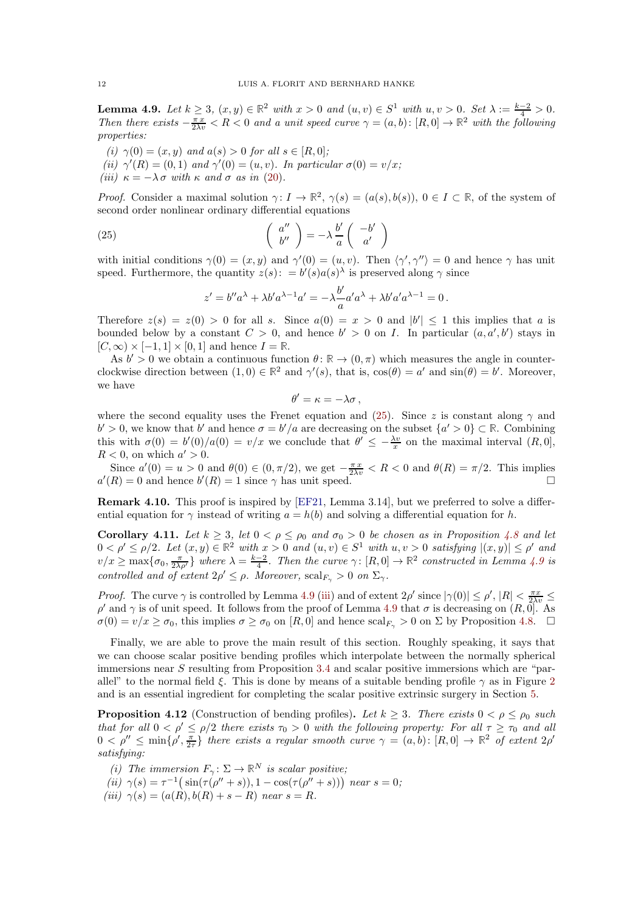<span id="page-11-1"></span>**Lemma 4.9.** Let  $k \ge 3$ ,  $(x, y) \in \mathbb{R}^2$  with  $x > 0$  and  $(u, v) \in S^1$  with  $u, v > 0$ . Set  $\lambda := \frac{k-2}{4} > 0$ . Then there exists  $-\frac{\pi x}{2\lambda v} < R < 0$  and a unit speed curve  $\gamma = (a, b) : [R, 0] \to \mathbb{R}^2$  with the following properties:

- <span id="page-11-9"></span><span id="page-11-8"></span>(i)  $\gamma(0) = (x, y)$  and  $a(s) > 0$  for all  $s \in [R, 0]$ ;
- <span id="page-11-3"></span>(ii)  $\gamma'(R) = (0, 1)$  and  $\gamma'(0) = (u, v)$ . In particular  $\sigma(0) = v/x$ ;
- (iii)  $\kappa = -\lambda \sigma$  with  $\kappa$  and  $\sigma$  as in [\(20\)](#page-9-4).

Proof. Consider a maximal solution  $\gamma: I \to \mathbb{R}^2$ ,  $\gamma(s) = (a(s), b(s)), 0 \in I \subset \mathbb{R}$ , of the system of second order nonlinear ordinary differential equations

(25) 
$$
\begin{pmatrix} a'' \\ b'' \end{pmatrix} = -\lambda \frac{b'}{a} \begin{pmatrix} -b' \\ a' \end{pmatrix}
$$

with initial conditions  $\gamma(0) = (x, y)$  and  $\gamma'(0) = (u, v)$ . Then  $\langle \gamma', \gamma'' \rangle = 0$  and hence  $\gamma$  has unit speed. Furthermore, the quantity  $z(s)$ :  $= b'(s)a(s)$ <sup> $\lambda$ </sup> is preserved along  $\gamma$  since

<span id="page-11-2"></span>
$$
z' = b''a^{\lambda} + \lambda b'a^{\lambda - 1}a' = -\lambda \frac{b'}{a}a'a^{\lambda} + \lambda b'a'a^{\lambda - 1} = 0.
$$

Therefore  $z(s) = z(0) > 0$  for all s. Since  $a(0) = x > 0$  and  $|b'| \le 1$  this implies that a is bounded below by a constant  $C > 0$ , and hence  $b' > 0$  on I. In particular  $(a, a', b')$  stays in  $[C, \infty) \times [-1, 1] \times [0, 1]$  and hence  $I = \mathbb{R}$ .

As  $b' > 0$  we obtain a continuous function  $\theta \colon \mathbb{R} \to (0, \pi)$  which measures the angle in counterclockwise direction between  $(1,0) \in \mathbb{R}^2$  and  $\gamma'(s)$ , that is,  $\cos(\theta) = a'$  and  $\sin(\theta) = b'$ . Moreover, we have

$$
\theta'=\kappa=-\lambda\sigma\,,
$$

where the second equality uses the Frenet equation and [\(25\)](#page-11-2). Since z is constant along  $\gamma$  and  $b' > 0$ , we know that  $b'$  and hence  $\sigma = b'/a$  are decreasing on the subset  $\{a' > 0\} \subset \mathbb{R}$ . Combining this with  $\sigma(0) = b'(0)/a(0) = v/x$  we conclude that  $\theta' \leq -\frac{\lambda v}{x}$  on the maximal interval  $(R, 0],$  $R < 0$ , on which  $a' > 0$ .

Since  $a'(0) = u > 0$  and  $\theta(0) \in (0, \pi/2)$ , we get  $-\frac{\pi x}{2\lambda v} < R < 0$  and  $\theta(R) = \pi/2$ . This implies  $a'(R) = 0$  and hence  $b'(R) = 1$  since  $\gamma$  has unit speed.

Remark 4.10. This proof is inspired by [\[EF21,](#page-14-2) Lemma 3.14], but we preferred to solve a differential equation for  $\gamma$  instead of writing  $a = h(b)$  and solving a differential equation for h.

<span id="page-11-4"></span>Corollary 4.11. Let  $k \geq 3$ , let  $0 < \rho \leq \rho_0$  and  $\sigma_0 > 0$  be chosen as in Proposition [4.8](#page-10-0) and let  $0 < \rho' \leq \rho/2$ . Let  $(x, y) \in \mathbb{R}^2$  with  $x > 0$  and  $(u, v) \in S^1$  with  $u, v > 0$  satisfying  $|(x, y)| \leq \rho'$  and  $v/x \ge \max\{\sigma_0, \frac{\pi}{2\lambda\rho'}\}\$  where  $\lambda = \frac{k-2}{4}$ . Then the curve  $\gamma: [R, 0] \to \mathbb{R}^2$  constructed in Lemma [4.9](#page-11-1) is controlled and of extent  $2\rho' \leq \rho$ . Moreover,  $\mathrm{scal}_{F_\gamma} > 0$  on  $\Sigma_\gamma$ .

*Proof.* The curve  $\gamma$  is controlled by Lemma [4.9](#page-11-1) [\(iii\)](#page-11-3) and of extent  $2\rho'$  since  $|\gamma(0)| \le \rho'$ ,  $|R| \le \frac{\pi x}{2\lambda v} \le$  $ρ'$  and  $γ$  is of unit speed. It follows from the proof of Lemma [4.9](#page-11-1) that  $σ$  is decreasing on  $(R, \vec{0}]$ . As  $\sigma(0) = v/x \ge \sigma_0$ , this implies  $\sigma \ge \sigma_0$  on [R, 0] and hence  $\mathrm{scal}_{F_{\gamma}} > 0$  on  $\Sigma$  by Proposition [4.8.](#page-10-0)  $\square$ 

Finally, we are able to prove the main result of this section. Roughly speaking, it says that we can choose scalar positive bending profiles which interpolate between the normally spherical immersions near S resulting from Proposition [3.4](#page-6-0) and scalar positive immersions which are "parallel" to the normal field  $\xi$ . This is done by means of a suitable bending profile  $\gamma$  as in Figure [2](#page-12-0) and is an essential ingredient for completing the scalar positive extrinsic surgery in Section [5.](#page-13-0)

<span id="page-11-0"></span>**Proposition 4.12** (Construction of bending profiles). Let  $k \geq 3$ . There exists  $0 < \rho \leq \rho_0$  such that for all  $0 < \rho' \le \rho/2$  there exists  $\tau_0 > 0$  with the following property: For all  $\tau \ge \tau_0$  and all  $0 < \rho'' \le \min\{\rho', \frac{\pi}{2\tau}\}\$  there exists a regular smooth curve  $\gamma = (a, b) : [R, 0] \to \mathbb{R}^2$  of extent  $2\rho'$ satisfying:

- <span id="page-11-5"></span>(i) The immersion  $F_{\gamma} : \Sigma \to \mathbb{R}^N$  is scalar positive;
- <span id="page-11-6"></span>(ii)  $\gamma(s) = \tau^{-1}(\sin(\tau(\rho'' + s)), 1 - \cos(\tau(\rho'' + s)))$  near  $s = 0$ ;
- <span id="page-11-7"></span>(iii)  $\gamma(s) = (a(R), b(R) + s - R)$  near  $s = R$ .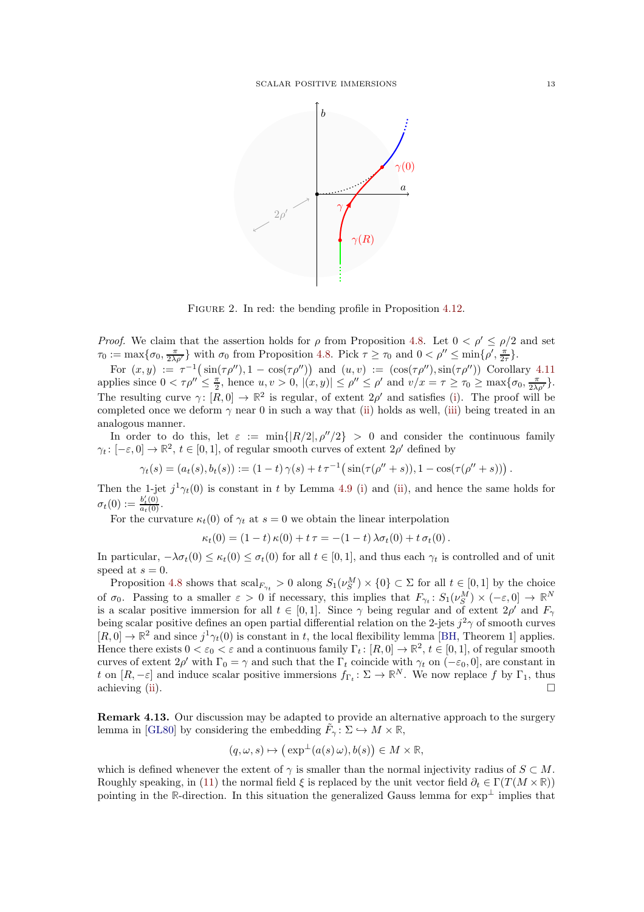

<span id="page-12-0"></span>FIGURE 2. In red: the bending profile in Proposition [4.12.](#page-11-0)

*Proof.* We claim that the assertion holds for  $\rho$  from Proposition [4.8.](#page-10-0) Let  $0 < \rho' \le \rho/2$  and set  $\tau_0 := \max\{\sigma_0, \frac{\pi}{2\lambda\rho'}\}\$  with  $\sigma_0$  from Proposition [4.8.](#page-10-0) Pick  $\tau \ge \tau_0$  and  $0 < \rho'' \le \min\{\rho', \frac{\pi}{2\tau}\}.$ 

For  $(x, y) := \tau^{-1}(\sin(\tau \rho''), 1 - \cos(\tau \rho''))$  and  $(u, v) := (\cos(\tau \rho''), \sin(\tau \rho''))$  Corollary [4.11](#page-11-4) applies since  $0 < \tau \rho'' \leq \frac{\pi}{2}$ , hence  $u, v > 0$ ,  $|(x, y)| \leq \rho'' \leq \rho'$  and  $v/x = \tau \geq \tau_0 \geq \max\{\sigma_0, \frac{\pi}{2\lambda \rho'}\}.$ The resulting curve  $\gamma: [R, 0] \to \mathbb{R}^2$  is regular, of extent  $2\rho'$  and satisfies [\(i\)](#page-11-5). The proof will be completed once we deform  $\gamma$  near 0 in such a way that [\(ii\)](#page-11-6) holds as well, [\(iii\)](#page-11-7) being treated in an analogous manner.

In order to do this, let  $\varepsilon := \min\{|R/2|, \rho''/2\} > 0$  and consider the continuous family  $\gamma_t: [-\varepsilon, 0] \to \mathbb{R}^2$ ,  $t \in [0, 1]$ , of regular smooth curves of extent  $2\rho'$  defined by

$$
\gamma_t(s) = (a_t(s), b_t(s)) := (1-t)\,\gamma(s) + t\,\tau^{-1}\big(\sin(\tau(\rho'' + s)), 1 - \cos(\tau(\rho'' + s))\big)\,.
$$

Then the 1-jet  $j^1\gamma_t(0)$  is constant in t by Lemma [4.9](#page-11-1) [\(i\)](#page-11-8) and [\(ii\)](#page-11-9), and hence the same holds for  $\sigma_t(0) := \frac{b_t'(0)}{a_t(0)}.$ 

For the curvature  $\kappa_t(0)$  of  $\gamma_t$  at  $s = 0$  we obtain the linear interpolation

$$
\kappa_t(0) = (1-t)\,\kappa(0) + t\,\tau = -(1-t)\,\lambda\sigma_t(0) + t\,\sigma_t(0).
$$

In particular,  $-\lambda \sigma_t(0) \leq \kappa_t(0) \leq \sigma_t(0)$  for all  $t \in [0,1]$ , and thus each  $\gamma_t$  is controlled and of unit speed at  $s = 0$ .

Proposition [4.8](#page-10-0) shows that  $\operatorname{scal}_{F_{\gamma_t}} > 0$  along  $S_1(\nu_S^M) \times \{0\} \subset \Sigma$  for all  $t \in [0,1]$  by the choice of  $\sigma_0$ . Passing to a smaller  $\varepsilon > 0$  if necessary, this implies that  $F_{\gamma_t}: S_1(\nu_S^M) \times (-\varepsilon, 0] \to \mathbb{R}^N$ is a scalar positive immersion for all  $t \in [0,1]$ . Since  $\gamma$  being regular and of extent  $2\rho'$  and  $F_{\gamma}$ being scalar positive defines an open partial differential relation on the 2-jets  $j^2\gamma$  of smooth curves  $[R, 0] \to \mathbb{R}^2$  and since  $j^1\gamma_t(0)$  is constant in t, the local flexibility lemma [\[BH,](#page-14-0) Theorem 1] applies. Hence there exists  $0 < \varepsilon_0 < \varepsilon$  and a continuous family  $\Gamma_t : [R, 0] \to \mathbb{R}^2$ ,  $t \in [0, 1]$ , of regular smooth curves of extent  $2\rho'$  with  $\Gamma_0 = \gamma$  and such that the  $\Gamma_t$  coincide with  $\gamma_t$  on  $(-\varepsilon_0, 0]$ , are constant in t on  $[R, -\varepsilon]$  and induce scalar positive immersions  $f_{\Gamma_t} \colon \Sigma \to \mathbb{R}^N$ . We now replace f by  $\Gamma_1$ , thus achieving [\(ii\)](#page-11-6).  $\Box$ 

Remark 4.13. Our discussion may be adapted to provide an alternative approach to the surgery lemma in [\[GL80\]](#page-15-0) by considering the embedding  $\tilde{F}_{\gamma} : \Sigma \hookrightarrow M \times \mathbb{R}$ ,

$$
(q,\omega,s)\mapsto \big(\exp^{\perp}(a(s)\,\omega),b(s)\big)\in M\times\mathbb{R},
$$

which is defined whenever the extent of  $\gamma$  is smaller than the normal injectivity radius of  $S \subset M$ . Roughly speaking, in [\(11\)](#page-7-2) the normal field  $\xi$  is replaced by the unit vector field  $\partial_t \in \Gamma(T(M \times \mathbb{R}))$ pointing in the R-direction. In this situation the generalized Gauss lemma for  $\exp^{\perp}$  implies that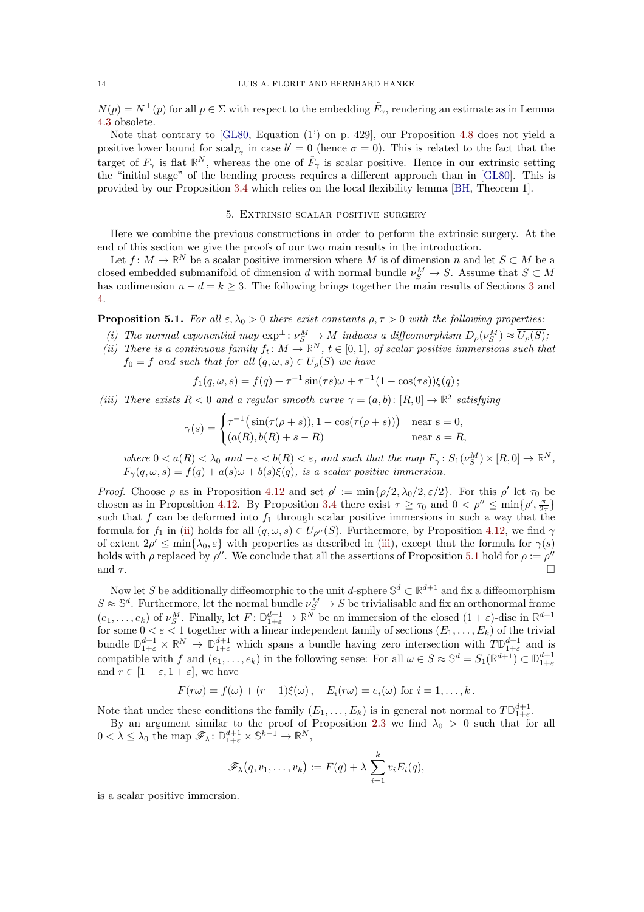$N(p) = N^{\perp}(p)$  for all  $p \in \Sigma$  with respect to the embedding  $\tilde{F}_{\gamma}$ , rendering an estimate as in Lemma [4.3](#page-9-1) obsolete.

Note that contrary to [\[GL80,](#page-15-0) Equation (1') on p. 429], our Proposition [4.8](#page-10-0) does not yield a positive lower bound for  $\mathrm{scal}_{F_{\gamma}}$  in case  $b' = 0$  (hence  $\sigma = 0$ ). This is related to the fact that the target of  $F_\gamma$  is flat  $\mathbb{R}^N$ , whereas the one of  $\tilde{F}_\gamma$  is scalar positive. Hence in our extrinsic setting the "initial stage" of the bending process requires a different approach than in [\[GL80\]](#page-15-0). This is provided by our Proposition [3.4](#page-6-0) which relies on the local flexibility lemma [\[BH,](#page-14-0) Theorem 1].

#### 5. Extrinsic scalar positive surgery

<span id="page-13-0"></span>Here we combine the previous constructions in order to perform the extrinsic surgery. At the end of this section we give the proofs of our two main results in the introduction.

Let  $f: M \to \mathbb{R}^N$  be a scalar positive immersion where M is of dimension n and let  $S \subset M$  be a closed embedded submanifold of dimension d with normal bundle  $\nu_S^M \to S$ . Assume that  $S \subset M$ has codimension  $n - d = k > 3$  $n - d = k > 3$ . The following brings together the main results of Sections 3 and [4.](#page-7-1)

<span id="page-13-3"></span>**Proposition 5.1.** For all  $\varepsilon, \lambda_0 > 0$  there exist constants  $\rho, \tau > 0$  with the following properties:

- <span id="page-13-1"></span>(i) The normal exponential map  $\exp^{\perp} : \nu_S^M \to M$  induces a diffeomorphism  $D_\rho(\nu_S^M) \approx \overline{U_\rho(S)}$ ;
- (ii) There is a continuous family  $f_t: M \to \mathbb{R}^N$ ,  $t \in [0,1]$ , of scalar positive immersions such that  $f_0 = f$  and such that for all  $(q, \omega, s) \in U_o(S)$  we have

$$
f_1(q, \omega, s) = f(q) + \tau^{-1} \sin(\tau s) \omega + \tau^{-1} (1 - \cos(\tau s)) \xi(q);
$$

<span id="page-13-2"></span>(iii) There exists  $R < 0$  and a regular smooth curve  $\gamma = (a, b) : [R, 0] \to \mathbb{R}^2$  satisfying

$$
\gamma(s) = \begin{cases} \tau^{-1}\big(\sin(\tau(\rho+s)), 1 - \cos(\tau(\rho+s))\big) & \text{near } s = 0, \\ (a(R), b(R) + s - R) & \text{near } s = R, \end{cases}
$$

where  $0 < a(R) < \lambda_0$  and  $-\varepsilon < b(R) < \varepsilon$ , and such that the map  $F_\gamma : S_1(\nu_S^M) \times [R, 0] \to \mathbb{R}^N$ ,  $F_{\gamma}(q,\omega,s) = f(q) + a(s)\omega + b(s)\xi(q)$ , is a scalar positive immersion.

Proof. Choose  $\rho$  as in Proposition [4.12](#page-11-0) and set  $\rho' := \min\{\rho/2, \lambda_0/2, \varepsilon/2\}$ . For this  $\rho'$  let  $\tau_0$  be chosen as in Proposition [4.12.](#page-11-0) By Proposition [3.4](#page-6-0) there exist  $\tau \geq \tau_0$  and  $0 < \rho'' \leq \min\{\rho', \frac{\pi}{2\tau}\}\$ such that f can be deformed into  $f_1$  through scalar positive immersions in such a way that the formula for  $f_1$  in [\(ii\)](#page-13-1) holds for all  $(q, \omega, s) \in U_{\rho''}(S)$ . Furthermore, by Proposition [4.12,](#page-11-0) we find  $\gamma$ of extent  $2\rho' \le \min\{\lambda_0, \varepsilon\}$  with properties as described in [\(iii\)](#page-13-2), except that the formula for  $\gamma(s)$ holds with  $\rho$  replaced by  $\rho''$ . We conclude that all the assertions of Proposition [5.1](#page-13-3) hold for  $\rho := \rho''$ and  $\tau$ .

Now let S be additionally diffeomorphic to the unit d-sphere  $\mathbb{S}^d \subset \mathbb{R}^{d+1}$  and fix a diffeomorphism  $S \approx \mathbb{S}^d$ . Furthermore, let the normal bundle  $\nu_S^M \to S$  be trivialisable and fix an orthonormal frame  $(e_1,\ldots,e_k)$  of  $\nu_S^M$ . Finally, let  $F: \mathbb{D}_{1+\varepsilon}^{d+1} \to \mathbb{R}^N$  be an immersion of the closed  $(1+\varepsilon)$ -disc in  $\mathbb{R}^{d+1}$ for some  $0 < \varepsilon < 1$  together with a linear independent family of sections  $(E_1, \ldots, E_k)$  of the trivial bundle  $\mathbb{D}_{1+\varepsilon}^{d+1} \times \mathbb{R}^N \to \mathbb{D}_{1+\varepsilon}^{d+1}$  which spans a bundle having zero intersection with  $T\mathbb{D}_{1+\varepsilon}^{d+1}$  and is compatible with f and  $(e_1, \ldots, e_k)$  in the following sense: For all  $\omega \in S \approx \mathbb{S}^d = S_1(\mathbb{R}^{d+1}) \subset \mathbb{D}_{1+\varepsilon}^{d+1}$ and  $r \in [1-\varepsilon, 1+\varepsilon]$ , we have

$$
F(r\omega) = f(\omega) + (r-1)\xi(\omega), \quad E_i(r\omega) = e_i(\omega) \text{ for } i = 1,\ldots,k.
$$

Note that under these conditions the family  $(E_1, \ldots, E_k)$  is in general not normal to  $T\mathbb{D}_{1+\varepsilon}^{d+1}$ .

By an argument similar to the proof of Proposition [2.3](#page-2-3) we find  $\lambda_0 > 0$  such that for all  $0 < \lambda \leq \lambda_0$  the map  $\mathscr{F}_{\lambda} : \mathbb{D}_{1+\varepsilon}^{d+1} \times \mathbb{S}^{k-1} \to \mathbb{R}^N$ ,

$$
\mathscr{F}_{\lambda}(q, v_1, \ldots, v_k) := F(q) + \lambda \sum_{i=1}^k v_i E_i(q),
$$

is a scalar positive immersion.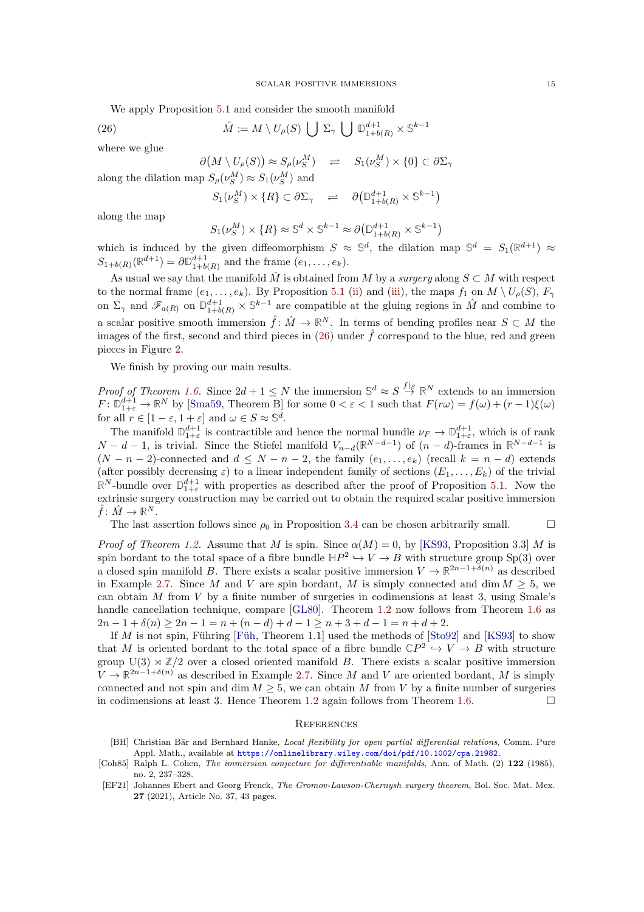We apply Proposition [5.1](#page-13-3) and consider the smooth manifold

(26)  $\hat{M} := M \setminus U_{\rho}(S) \bigcup \Sigma_{\gamma} \bigcup \mathbb{D}_{1+b(R)}^{d+1} \times \mathbb{S}^{k-1}$ 

where we glue

<span id="page-14-3"></span> $\partial(M \setminus U_\rho(S)) \approx S_\rho(\nu_S^M) \quad \rightleftharpoons \quad S_1(\nu_S^M) \times \{0\} \subset \partial \Sigma_\gamma$ 

along the dilation map  $S_{\rho}(\nu_S^M) \approx S_1(\nu_S^M)$  and

$$
S_1(\nu_S^M)\times \{R\}\subset \partial \Sigma_\gamma\quad \rightleftharpoons\quad \partial \big(\mathbb{D}^{d+1}_{1+b(R)}\times \mathbb{S}^{k-1}\big)
$$

along the map

$$
S_1(\nu_S^M) \times \{R\} \approx \mathbb{S}^d \times \mathbb{S}^{k-1} \approx \partial \big( \mathbb{D}_{1+b(R)}^{d+1} \times \mathbb{S}^{k-1} \big)
$$

which is induced by the given diffeomorphism  $S \approx \mathbb{S}^d$ , the dilation map  $\mathbb{S}^d = S_1(\mathbb{R}^{d+1}) \approx$  $S_{1+b(R)}(\mathbb{R}^{d+1}) = \partial \mathbb{D}_{1+b(R)}^{d+1}$  and the frame  $(e_1, ..., e_k)$ .

As usual we say that the manifold  $\hat{M}$  is obtained from M by a surgery along  $S \subset M$  with respect to the normal frame  $(e_1, \ldots, e_k)$ . By Proposition [5.1](#page-13-3) [\(ii\)](#page-13-1) and [\(iii\)](#page-13-2), the maps  $f_1$  on  $M \setminus U_\rho(S)$ ,  $F_\gamma$ on  $\Sigma_{\gamma}$  and  $\mathscr{F}_{a(R)}$  on  $\mathbb{D}_{1+b(R)}^{d+1} \times \mathbb{S}^{k-1}$  are compatible at the gluing regions in  $\hat{M}$  and combine to a scalar positive smooth immersion  $\hat{f}$ :  $\hat{M} \to \mathbb{R}^N$ . In terms of bending profiles near  $S \subset M$  the images of the first, second and third pieces in [\(26\)](#page-14-3) under  $\hat{f}$  correspond to the blue, red and green pieces in Figure [2.](#page-12-0)

We finish by proving our main results.

Proof of Theorem [1.6.](#page-1-1) Since  $2d + 1 \leq N$  the immersion  $\mathbb{S}^d \approx S \stackrel{f|_{S}}{\to} \mathbb{R}^N$  extends to an immersion  $F: \mathbb{D}_{1+\varepsilon}^{d+1} \to \mathbb{R}^N$  by [\[Sma59,](#page-15-13) Theorem B] for some  $0 < \varepsilon < 1$  such that  $F(r\omega) = f(\omega) + (r-1)\xi(\omega)$ for all  $r \in [1 - \varepsilon, 1 + \varepsilon]$  and  $\omega \in S \approx \mathbb{S}^d$ .

The manifold  $\mathbb{D}_{1+\varepsilon}^{d+1}$  is contractible and hence the normal bundle  $\nu_F \to \mathbb{D}_{1+\varepsilon}^{d+1}$ , which is of rank  $N - d - 1$ , is trivial. Since the Stiefel manifold  $V_{n-d}(\mathbb{R}^{N-d-1})$  of  $(n - d)$ -frames in  $\mathbb{R}^{N-d-1}$  is  $(N - n - 2)$ -connected and  $d \leq N - n - 2$ , the family  $(e_1, \ldots, e_k)$  (recall  $k = n - d$ ) extends (after possibly decreasing  $\varepsilon$ ) to a linear independent family of sections  $(E_1, \ldots, E_k)$  of the trivial  $\mathbb{R}^N$ -bundle over  $\mathbb{D}_{1+\varepsilon}^{d+1}$  with properties as described after the proof of Proposition [5.1.](#page-13-3) Now the extrinsic surgery construction may be carried out to obtain the required scalar positive immersion  $\hat{f} \colon \hat{M} \to \mathbb{R}^N$ .

The last assertion follows since  $\rho_0$  in Proposition [3.4](#page-6-0) can be chosen arbitrarily small.  $\square$ 

*Proof of Theorem [1.2.](#page-0-0)* Assume that M is spin. Since  $\alpha(M) = 0$ , by [\[KS93,](#page-15-14) Proposition 3.3] M is spin bordant to the total space of a fibre bundle  $\mathbb{H}P^2 \hookrightarrow V \to B$  with structure group  $Sp(3)$  over a closed spin manifold B. There exists a scalar positive immersion  $V \to \mathbb{R}^{2n-1+\delta(n)}$  as described in Example [2.7.](#page-3-0) Since M and V are spin bordant, M is simply connected and dim  $M > 5$ , we can obtain  $M$  from  $V$  by a finite number of surgeries in codimensions at least 3, using Smale's handle cancellation technique, compare [\[GL80\]](#page-15-0). Theorem [1.2](#page-0-0) now follows from Theorem [1.6](#page-1-1) as  $2n-1+\delta(n) \geq 2n-1 = n+(n-d)+d-1 \geq n+3+d-1 = n+d+2.$ 

If M is not spin, Führing [Füh, Theorem 1.1] used the methods of [\[Sto92\]](#page-15-1) and [\[KS93\]](#page-15-14) to show that M is oriented bordant to the total space of a fibre bundle  $\mathbb{C}P^2 \hookrightarrow V \to B$  with structure group  $U(3) \rtimes \mathbb{Z}/2$  over a closed oriented manifold B. There exists a scalar positive immersion  $V \to \mathbb{R}^{2n-1+\delta(n)}$  as described in Example [2.7.](#page-3-0) Since M and V are oriented bordant, M is simply connected and not spin and dim  $M \geq 5$ , we can obtain M from V by a finite number of surgeries in codimensions at least 3. Hence Theorem 1.2 again follows from Theorem 1.6. in codimensions at least 3. Hence Theorem [1.2](#page-0-0) again follows from Theorem [1.6.](#page-1-1)

# **REFERENCES**

- <span id="page-14-0"></span>[BH] Christian Bär and Bernhard Hanke, Local flexibility for open partial differential relations, Comm. Pure Appl. Math., available at <https://onlinelibrary.wiley.com/doi/pdf/10.1002/cpa.21982>.
- <span id="page-14-1"></span>[Coh85] Ralph L. Cohen, *The immersion conjecture for differentiable manifolds*, Ann. of Math. (2) 122 (1985), no. 2, 237–328.
- <span id="page-14-2"></span>[EF21] Johannes Ebert and Georg Frenck, The Gromov-Lawson-Chernysh surgery theorem, Bol. Soc. Mat. Mex. 27 (2021), Article No. 37, 43 pages.